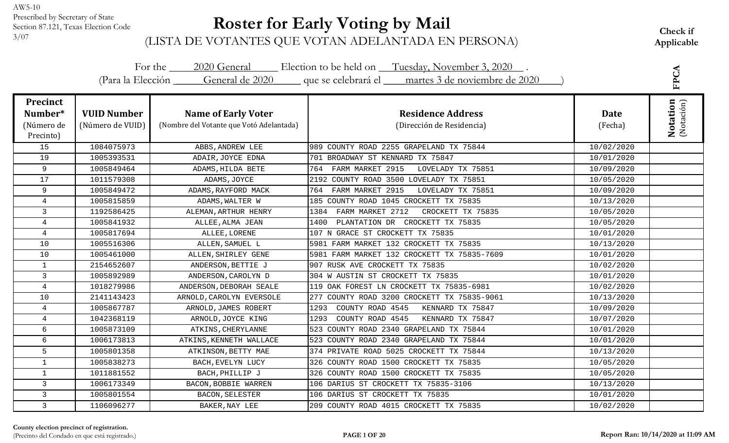#### **Roster for Early Voting by Mail**

| For the 2020 General Election to be held on Tuesday, November 3, 2020.<br>(Para la Elección General de 2020 que se celebrará el martes 3 de noviembre de 2020 |                                        |                                                                        |                                                       |                 |                               |
|---------------------------------------------------------------------------------------------------------------------------------------------------------------|----------------------------------------|------------------------------------------------------------------------|-------------------------------------------------------|-----------------|-------------------------------|
| <b>Precinct</b><br>Number*<br>(Número de<br>Precinto)                                                                                                         | <b>VUID Number</b><br>(Número de VUID) | <b>Name of Early Voter</b><br>(Nombre del Votante que Votó Adelantada) | <b>Residence Address</b><br>(Dirección de Residencia) | Date<br>(Fecha) | <b>Notation</b><br>(Notación) |
| 15                                                                                                                                                            | 1084075973                             | ABBS, ANDREW LEE                                                       | 989 COUNTY ROAD 2255 GRAPELAND TX 75844               | 10/02/2020      |                               |
| 19                                                                                                                                                            | 1005393531                             | ADAIR, JOYCE EDNA                                                      | 701 BROADWAY ST KENNARD TX 75847                      | 10/01/2020      |                               |
| 9                                                                                                                                                             | 1005849464                             | ADAMS, HILDA BETE                                                      | 764 FARM MARKET 2915<br>LOVELADY TX 75851             | 10/09/2020      |                               |
| 17                                                                                                                                                            | 1011579308                             | ADAMS, JOYCE                                                           | 2192 COUNTY ROAD 3500 LOVELADY TX 75851               | 10/05/2020      |                               |
| $\overline{9}$                                                                                                                                                | 1005849472                             | ADAMS, RAYFORD MACK                                                    | 764 FARM MARKET 2915<br>LOVELADY TX 75851             | 10/09/2020      |                               |
| $\overline{4}$                                                                                                                                                | 1005815859                             | ADAMS, WALTER W                                                        | 185 COUNTY ROAD 1045 CROCKETT TX 75835                | 10/13/2020      |                               |
| $\mathsf{3}$                                                                                                                                                  | 1192586425                             | ALEMAN, ARTHUR HENRY                                                   | FARM MARKET 2712<br>CROCKETT TX 75835<br>1384         | 10/05/2020      |                               |
| $\overline{4}$                                                                                                                                                | 1005841932                             | ALLEE, ALMA JEAN                                                       | PLANTATION DR CROCKETT TX 75835<br>1400               | 10/05/2020      |                               |
| $\overline{4}$                                                                                                                                                | 1005817694                             | ALLEE, LORENE                                                          | 107 N GRACE ST CROCKETT TX 75835                      | 10/01/2020      |                               |
| 10                                                                                                                                                            | 1005516306                             | ALLEN, SAMUEL L                                                        | 5981 FARM MARKET 132 CROCKETT TX 75835                | 10/13/2020      |                               |
| 10                                                                                                                                                            | 1005461000                             | ALLEN, SHIRLEY GENE                                                    | 5981 FARM MARKET 132 CROCKETT TX 75835-7609           | 10/01/2020      |                               |
| $\mathbf{1}$                                                                                                                                                  | 2154652607                             | ANDERSON, BETTIE J                                                     | 907 RUSK AVE CROCKETT TX 75835                        | 10/02/2020      |                               |
| $\mathbf{3}$                                                                                                                                                  | 1005892989                             | ANDERSON, CAROLYN D                                                    | 304 W AUSTIN ST CROCKETT TX 75835                     | 10/01/2020      |                               |
| $\overline{4}$                                                                                                                                                | 1018279986                             | ANDERSON, DEBORAH SEALE                                                | 119 OAK FOREST LN CROCKETT TX 75835-6981              | 10/02/2020      |                               |
| 10                                                                                                                                                            | 2141143423                             | ARNOLD, CAROLYN EVERSOLE                                               | 277 COUNTY ROAD 3200 CROCKETT TX 75835-9061           | 10/13/2020      |                               |
| $\overline{4}$                                                                                                                                                | 1005867787                             | ARNOLD, JAMES ROBERT                                                   | COUNTY ROAD 4545<br>1293<br>KENNARD TX 75847          | 10/09/2020      |                               |
| $\overline{4}$                                                                                                                                                | 1042368119                             | ARNOLD, JOYCE KING                                                     | COUNTY ROAD 4545<br>KENNARD TX 75847<br>1293          | 10/07/2020      |                               |
| 6                                                                                                                                                             | 1005873109                             | ATKINS, CHERYLANNE                                                     | 523 COUNTY ROAD 2340 GRAPELAND TX 75844               | 10/01/2020      |                               |
| 6                                                                                                                                                             | 1006173813                             | ATKINS, KENNETH WALLACE                                                | 523 COUNTY ROAD 2340 GRAPELAND TX 75844               | 10/01/2020      |                               |
| 5                                                                                                                                                             | 1005801358                             | ATKINSON, BETTY MAE                                                    | 374 PRIVATE ROAD 5025 CROCKETT TX 75844               | 10/13/2020      |                               |
| $\mathbf{1}$                                                                                                                                                  | 1005838273                             | BACH, EVELYN LUCY                                                      | 326 COUNTY ROAD 1500 CROCKETT TX 75835                | 10/05/2020      |                               |
| $\mathbf{1}$                                                                                                                                                  | 1011881552                             | BACH, PHILLIP J                                                        | 326 COUNTY ROAD 1500 CROCKETT TX 75835                | 10/05/2020      |                               |
| $\mathsf{3}$                                                                                                                                                  | 1006173349                             | BACON, BOBBIE WARREN                                                   | 106 DARIUS ST CROCKETT TX 75835-3106                  | 10/13/2020      |                               |
| 3                                                                                                                                                             | 1005801554                             | BACON, SELESTER                                                        | 106 DARIUS ST CROCKETT TX 75835                       | 10/01/2020      |                               |
| $\mathbf{3}$                                                                                                                                                  | 1106096277                             | BAKER, NAY LEE                                                         | 209 COUNTY ROAD 4015 CROCKETT TX 75835                | 10/02/2020      |                               |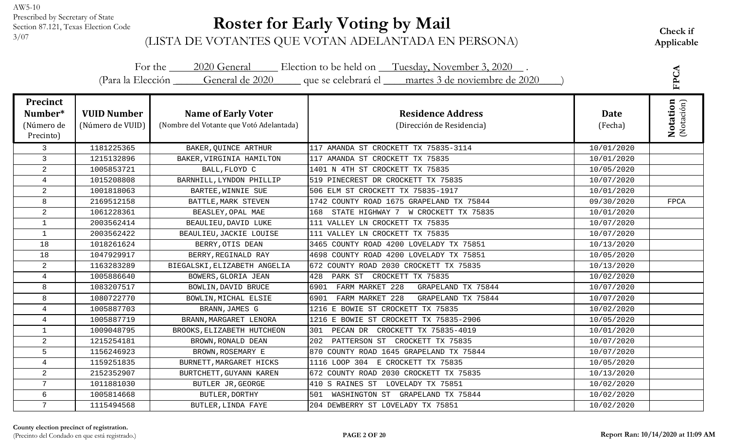# **Roster for Early Voting by Mail**

|                                                       |                                        |                                                                        | For the 2020 General Election to be held on Tuesday, November 3, 2020.              |                        | FPCA                   |
|-------------------------------------------------------|----------------------------------------|------------------------------------------------------------------------|-------------------------------------------------------------------------------------|------------------------|------------------------|
|                                                       |                                        |                                                                        | (Para la Elección General de 2020 que se celebrará el martes 3 de noviembre de 2020 |                        |                        |
| <b>Precinct</b><br>Number*<br>(Número de<br>Precinto) | <b>VUID Number</b><br>(Número de VUID) | <b>Name of Early Voter</b><br>(Nombre del Votante que Votó Adelantada) | <b>Residence Address</b><br>(Dirección de Residencia)                               | <b>Date</b><br>(Fecha) | Notation<br>(Notación) |
| $\mathsf{3}$                                          | 1181225365                             | BAKER, QUINCE ARTHUR                                                   | 117 AMANDA ST CROCKETT TX 75835-3114                                                | 10/01/2020             |                        |
| 3                                                     | 1215132896                             | BAKER, VIRGINIA HAMILTON                                               | 117 AMANDA ST CROCKETT TX 75835                                                     | 10/01/2020             |                        |
| $\overline{a}$                                        | 1005853721                             | BALL, FLOYD C                                                          | 1401 N 4TH ST CROCKETT TX 75835                                                     | 10/05/2020             |                        |
| $\overline{4}$                                        | 1015208808                             | BARNHILL, LYNDON PHILLIP                                               | 519 PINECREST DR CROCKETT TX 75835                                                  | 10/07/2020             |                        |
| $\overline{2}$                                        | 1001818063                             | BARTEE, WINNIE SUE                                                     | 506 ELM ST CROCKETT TX 75835-1917                                                   | 10/01/2020             |                        |
| 8                                                     | 2169512158                             | BATTLE, MARK STEVEN                                                    | 1742 COUNTY ROAD 1675 GRAPELAND TX 75844                                            | 09/30/2020             | <b>FPCA</b>            |
| $\overline{a}$                                        | 1061228361                             | BEASLEY, OPAL MAE                                                      | STATE HIGHWAY 7 W CROCKETT TX 75835<br>168                                          | 10/01/2020             |                        |
| $\mathbf{1}$                                          | 2003562414                             | BEAULIEU, DAVID LUKE                                                   | 111 VALLEY LN CROCKETT TX 75835                                                     | 10/07/2020             |                        |
| $\mathbf{1}$                                          | 2003562422                             | BEAULIEU, JACKIE LOUISE                                                | 111 VALLEY LN CROCKETT TX 75835                                                     | 10/07/2020             |                        |
| 18                                                    | 1018261624                             | BERRY, OTIS DEAN                                                       | 3465 COUNTY ROAD 4200 LOVELADY TX 75851                                             | 10/13/2020             |                        |
| 18                                                    | 1047929917                             | BERRY, REGINALD RAY                                                    | 4698 COUNTY ROAD 4200 LOVELADY TX 75851                                             | 10/05/2020             |                        |
| $\overline{a}$                                        | 1163283289                             | BIEGALSKI, ELIZABETH ANGELIA                                           | 672 COUNTY ROAD 2030 CROCKETT TX 75835                                              | 10/13/2020             |                        |
| $\overline{4}$                                        | 1005886640                             | BOWERS, GLORIA JEAN                                                    | PARK ST CROCKETT TX 75835<br>428                                                    | 10/02/2020             |                        |
| 8                                                     | 1083207517                             | BOWLIN, DAVID BRUCE                                                    | FARM MARKET 228<br>GRAPELAND TX 75844<br>6901                                       | 10/07/2020             |                        |
| 8                                                     | 1080722770                             | BOWLIN, MICHAL ELSIE                                                   | FARM MARKET 228<br>6901<br>GRAPELAND TX 75844                                       | 10/07/2020             |                        |
| $\overline{4}$                                        | 1005887703                             | BRANN, JAMES G                                                         | 1216 E BOWIE ST CROCKETT TX 75835                                                   | 10/02/2020             |                        |
| $\overline{4}$                                        | 1005887719                             | BRANN, MARGARET LENORA                                                 | 1216 E BOWIE ST CROCKETT TX 75835-2906                                              | 10/05/2020             |                        |
| $\mathbf{1}$                                          | 1009048795                             | BROOKS, ELIZABETH HUTCHEON                                             | 301 PECAN DR CROCKETT TX 75835-4019                                                 | 10/01/2020             |                        |
| $\overline{2}$                                        | 1215254181                             | BROWN, RONALD DEAN                                                     | 202 PATTERSON ST CROCKETT TX 75835                                                  | 10/07/2020             |                        |
| 5                                                     | 1156246923                             | BROWN, ROSEMARY E                                                      | 870 COUNTY ROAD 1645 GRAPELAND TX 75844                                             | 10/07/2020             |                        |
| $\overline{4}$                                        | 1159251835                             | BURNETT, MARGARET HICKS                                                | 1116 LOOP 304 E CROCKETT TX 75835                                                   | 10/05/2020             |                        |
| 2                                                     | 2152352907                             | BURTCHETT, GUYANN KAREN                                                | 672 COUNTY ROAD 2030 CROCKETT TX 75835                                              | 10/13/2020             |                        |
| $7\phantom{.0}$                                       | 1011881030                             | BUTLER JR, GEORGE                                                      | 410 S RAINES ST LOVELADY TX 75851                                                   | 10/02/2020             |                        |
| 6                                                     | 1005814668                             | BUTLER, DORTHY                                                         | WASHINGTON ST GRAPELAND TX 75844<br>501                                             | 10/02/2020             |                        |
| $7\overline{ }$                                       | 1115494568                             | BUTLER, LINDA FAYE                                                     | 204 DEWBERRY ST LOVELADY TX 75851                                                   | 10/02/2020             |                        |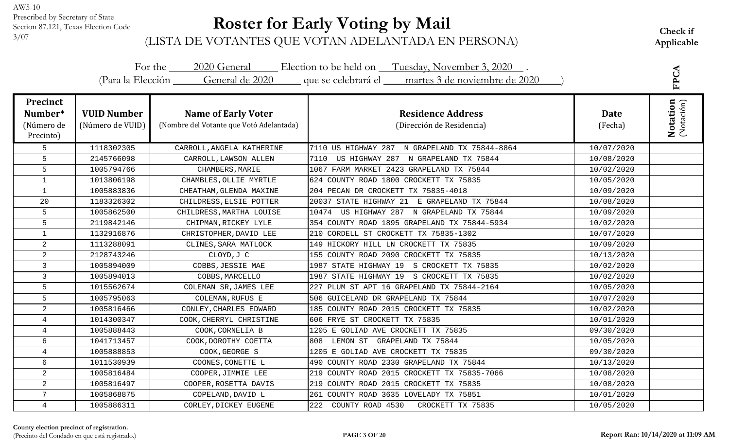# **Roster for Early Voting by Mail**

|                                                       |                                        |                                                                        | For the 2020 General Election to be held on Tuesday, November 3, 2020.<br>(Para la Elección General de 2020 que se celebrará el martes 3 de noviembre de 2020 |                        | FPCA                          |
|-------------------------------------------------------|----------------------------------------|------------------------------------------------------------------------|---------------------------------------------------------------------------------------------------------------------------------------------------------------|------------------------|-------------------------------|
| <b>Precinct</b><br>Number*<br>(Número de<br>Precinto) | <b>VUID Number</b><br>(Número de VUID) | <b>Name of Early Voter</b><br>(Nombre del Votante que Votó Adelantada) | <b>Residence Address</b><br>(Dirección de Residencia)                                                                                                         | <b>Date</b><br>(Fecha) | <b>Notation</b><br>(Notación) |
| 5                                                     | 1118302305                             | CARROLL, ANGELA KATHERINE                                              | 7110 US HIGHWAY 287 N GRAPELAND TX 75844-8864                                                                                                                 | 10/07/2020             |                               |
| 5                                                     | 2145766098                             | CARROLL, LAWSON ALLEN                                                  | US HIGHWAY 287 N GRAPELAND TX 75844<br>7110                                                                                                                   | 10/08/2020             |                               |
| 5                                                     | 1005794766                             | CHAMBERS, MARIE                                                        | 1067 FARM MARKET 2423 GRAPELAND TX 75844                                                                                                                      | 10/02/2020             |                               |
| $\mathbf{1}$                                          | 1013806198                             | CHAMBLES, OLLIE MYRTLE                                                 | 624 COUNTY ROAD 1800 CROCKETT TX 75835                                                                                                                        | 10/05/2020             |                               |
| $\mathbf{1}$                                          | 1005883836                             | CHEATHAM, GLENDA MAXINE                                                | 204 PECAN DR CROCKETT TX 75835-4018                                                                                                                           | 10/09/2020             |                               |
| 20                                                    | 1183326302                             | CHILDRESS, ELSIE POTTER                                                | 20037 STATE HIGHWAY 21 E GRAPELAND TX 75844                                                                                                                   | 10/08/2020             |                               |
| 5                                                     | 1005862500                             | CHILDRESS, MARTHA LOUISE                                               | 10474 US HIGHWAY 287 N GRAPELAND TX 75844                                                                                                                     | 10/09/2020             |                               |
| 5                                                     | 2119842146                             | CHIPMAN, RICKEY LYLE                                                   | 354 COUNTY ROAD 1895 GRAPELAND TX 75844-5934                                                                                                                  | 10/02/2020             |                               |
| $\mathbf{1}$                                          | 1132916876                             | CHRISTOPHER, DAVID LEE                                                 | 210 CORDELL ST CROCKETT TX 75835-1302                                                                                                                         | 10/07/2020             |                               |
| $\overline{a}$                                        | 1113288091                             | CLINES, SARA MATLOCK                                                   | 149 HICKORY HILL LN CROCKETT TX 75835                                                                                                                         | 10/09/2020             |                               |
| $\overline{a}$                                        | 2128743246                             | CLOYD, J C                                                             | 155 COUNTY ROAD 2090 CROCKETT TX 75835                                                                                                                        | 10/13/2020             |                               |
| $\mathbf{3}$                                          | 1005894009                             | COBBS, JESSIE MAE                                                      | 1987 STATE HIGHWAY 19 S CROCKETT TX 75835                                                                                                                     | 10/02/2020             |                               |
| $\mathsf{3}$                                          | 1005894013                             | COBBS, MARCELLO                                                        | 1987 STATE HIGHWAY 19 S CROCKETT TX 75835                                                                                                                     | 10/02/2020             |                               |
| 5                                                     | 1015562674                             | COLEMAN SR, JAMES LEE                                                  | 227 PLUM ST APT 16 GRAPELAND TX 75844-2164                                                                                                                    | 10/05/2020             |                               |
| 5                                                     | 1005795063                             | COLEMAN, RUFUS E                                                       | 506 GUICELAND DR GRAPELAND TX 75844                                                                                                                           | 10/07/2020             |                               |
| $\overline{2}$                                        | 1005816466                             | CONLEY, CHARLES EDWARD                                                 | 185 COUNTY ROAD 2015 CROCKETT TX 75835                                                                                                                        | 10/02/2020             |                               |
| 4                                                     | 1014300347                             | COOK, CHERRYL CHRISTINE                                                | 606 FRYE ST CROCKETT TX 75835                                                                                                                                 | 10/01/2020             |                               |
| $\overline{4}$                                        | 1005888443                             | COOK, CORNELIA B                                                       | 1205 E GOLIAD AVE CROCKETT TX 75835                                                                                                                           | 09/30/2020             |                               |
| 6                                                     | 1041713457                             | COOK, DOROTHY COETTA                                                   | LEMON ST GRAPELAND TX 75844<br>808                                                                                                                            | 10/05/2020             |                               |
| 4                                                     | 1005888853                             | COOK, GEORGE S                                                         | 1205 E GOLIAD AVE CROCKETT TX 75835                                                                                                                           | 09/30/2020             |                               |
| 6                                                     | 1011530939                             | COONES, CONETTE L                                                      | 490 COUNTY ROAD 2330 GRAPELAND TX 75844                                                                                                                       | 10/13/2020             |                               |
| 2                                                     | 1005816484                             | COOPER, JIMMIE LEE                                                     | 219 COUNTY ROAD 2015 CROCKETT TX 75835-7066                                                                                                                   | 10/08/2020             |                               |
| $\overline{a}$                                        | 1005816497                             | COOPER, ROSETTA DAVIS                                                  | 219 COUNTY ROAD 2015 CROCKETT TX 75835                                                                                                                        | 10/08/2020             |                               |
| $\overline{7}$                                        | 1005868875                             | COPELAND, DAVID L                                                      | 261 COUNTY ROAD 3635 LOVELADY TX 75851                                                                                                                        | 10/01/2020             |                               |
| 4                                                     | 1005886311                             | CORLEY, DICKEY EUGENE                                                  | 222 COUNTY ROAD 4530<br>CROCKETT TX 75835                                                                                                                     | 10/05/2020             |                               |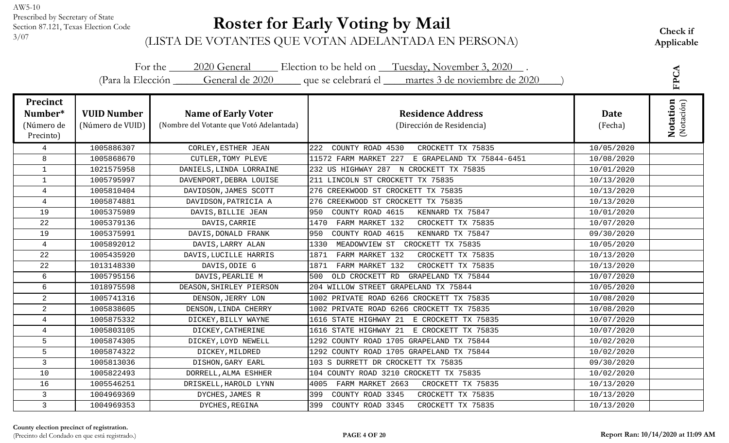# **Roster for Early Voting by Mail**

|                                                       |                                        |                                                                        | For the 2020 General Election to be held on Tuesday, November 3, 2020.              |                 |                               |
|-------------------------------------------------------|----------------------------------------|------------------------------------------------------------------------|-------------------------------------------------------------------------------------|-----------------|-------------------------------|
|                                                       |                                        |                                                                        | (Para la Elección General de 2020 que se celebrará el martes 3 de noviembre de 2020 |                 | FPCA                          |
| <b>Precinct</b><br>Number*<br>(Número de<br>Precinto) | <b>VUID Number</b><br>(Número de VUID) | <b>Name of Early Voter</b><br>(Nombre del Votante que Votó Adelantada) | <b>Residence Address</b><br>(Dirección de Residencia)                               | Date<br>(Fecha) | <b>Notation</b><br>(Notación) |
| 4                                                     | 1005886307                             | CORLEY, ESTHER JEAN                                                    | 222<br>COUNTY ROAD 4530<br>CROCKETT TX 75835                                        | 10/05/2020      |                               |
| 8                                                     | 1005868670                             | CUTLER, TOMY PLEVE                                                     | 11572 FARM MARKET 227 E GRAPELAND TX 75844-6451                                     | 10/08/2020      |                               |
| $\mathbf{1}$                                          | 1021575958                             | DANIELS, LINDA LORRAINE                                                | 232 US HIGHWAY 287 N CROCKETT TX 75835                                              | 10/01/2020      |                               |
| $\mathbf{1}$                                          | 1005795997                             | DAVENPORT, DEBRA LOUISE                                                | 211 LINCOLN ST CROCKETT TX 75835                                                    | 10/13/2020      |                               |
| $\overline{4}$                                        | 1005810404                             | DAVIDSON, JAMES SCOTT                                                  | 276 CREEKWOOD ST CROCKETT TX 75835                                                  | 10/13/2020      |                               |
| $\overline{4}$                                        | 1005874881                             | DAVIDSON, PATRICIA A                                                   | 276 CREEKWOOD ST CROCKETT TX 75835                                                  | 10/13/2020      |                               |
| 19                                                    | 1005375989                             | DAVIS, BILLIE JEAN                                                     | COUNTY ROAD 4615<br>KENNARD TX 75847<br>950                                         | 10/01/2020      |                               |
| 22                                                    | 1005379136                             | DAVIS, CARRIE                                                          | FARM MARKET 132<br>CROCKETT TX 75835<br>1470                                        | 10/07/2020      |                               |
| 19                                                    | 1005375991                             | DAVIS, DONALD FRANK                                                    | 950<br>COUNTY ROAD 4615<br>KENNARD TX 75847                                         | 09/30/2020      |                               |
| $\overline{4}$                                        | 1005892012                             | DAVIS, LARRY ALAN                                                      | MEADOWVIEW ST CROCKETT TX 75835<br>1330                                             | 10/05/2020      |                               |
| 22                                                    | 1005435920                             | DAVIS, LUCILLE HARRIS                                                  | FARM MARKET 132<br>CROCKETT TX 75835<br>1871                                        | 10/13/2020      |                               |
| 22                                                    | 1013148330                             | DAVIS, ODIE G                                                          | 1871<br>FARM MARKET 132<br>CROCKETT TX 75835                                        | 10/13/2020      |                               |
| 6                                                     | 1005795156                             | DAVIS, PEARLIE M                                                       | 500<br>OLD CROCKETT RD<br>GRAPELAND TX 75844                                        | 10/07/2020      |                               |
| 6                                                     | 1018975598                             | DEASON, SHIRLEY PIERSON                                                | 204 WILLOW STREET GRAPELAND TX 75844                                                | 10/05/2020      |                               |
| $\overline{a}$                                        | 1005741316                             | DENSON, JERRY LON                                                      | 1002 PRIVATE ROAD 6266 CROCKETT TX 75835                                            | 10/08/2020      |                               |
| $\overline{c}$                                        | 1005838605                             | DENSON, LINDA CHERRY                                                   | 1002 PRIVATE ROAD 6266 CROCKETT TX 75835                                            | 10/08/2020      |                               |
| $\overline{4}$                                        | 1005875332                             | DICKEY, BILLY WAYNE                                                    | 1616 STATE HIGHWAY 21 E CROCKETT TX 75835                                           | 10/07/2020      |                               |
| $\overline{4}$                                        | 1005803105                             | DICKEY, CATHERINE                                                      | 1616 STATE HIGHWAY 21 E CROCKETT TX 75835                                           | 10/07/2020      |                               |
| 5                                                     | 1005874305                             | DICKEY, LOYD NEWELL                                                    | 1292 COUNTY ROAD 1705 GRAPELAND TX 75844                                            | 10/02/2020      |                               |
| 5                                                     | 1005874322                             | DICKEY, MILDRED                                                        | 1292 COUNTY ROAD 1705 GRAPELAND TX 75844                                            | 10/02/2020      |                               |
| $\mathsf{3}$                                          | 1005813036                             | DISHON, GARY EARL                                                      | 103 S DURRETT DR CROCKETT TX 75835                                                  | 09/30/2020      |                               |
| 10                                                    | 1005822493                             | DORRELL, ALMA ESHHER                                                   | 104 COUNTY ROAD 3210 CROCKETT TX 75835                                              | 10/02/2020      |                               |
| 16                                                    | 1005546251                             | DRISKELL, HAROLD LYNN                                                  | FARM MARKET 2663<br>CROCKETT TX 75835<br>4005                                       | 10/13/2020      |                               |
| 3                                                     | 1004969369                             | DYCHES, JAMES R                                                        | COUNTY ROAD 3345<br>CROCKETT TX 75835<br>399                                        | 10/13/2020      |                               |
| $\mathbf{3}$                                          | 1004969353                             | DYCHES, REGINA                                                         | 399<br>COUNTY ROAD 3345<br>CROCKETT TX 75835                                        | 10/13/2020      |                               |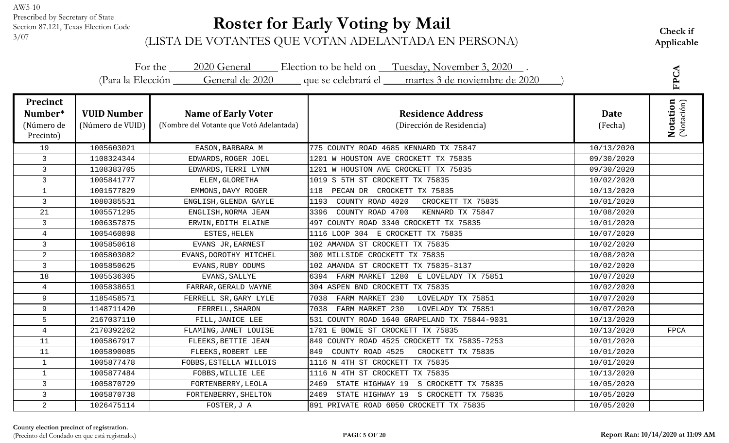# **Roster for Early Voting by Mail**

Check if<br><sup>3/07</sup> (LISTA DE VOTANTES QUE VOTAN ADELANTADA EN PERSONA) Applicable

| For the 2020 General Election to be held on Tuesday, November 3, 2020.<br>(Para la Elección General de 2020 que se celebrará el martes 3 de noviembre de 2020 |                                        |                                                                        |                                                       |                        |                               |
|---------------------------------------------------------------------------------------------------------------------------------------------------------------|----------------------------------------|------------------------------------------------------------------------|-------------------------------------------------------|------------------------|-------------------------------|
| <b>Precinct</b><br>Number*<br>(Número de<br>Precinto)                                                                                                         | <b>VUID Number</b><br>(Número de VUID) | <b>Name of Early Voter</b><br>(Nombre del Votante que Votó Adelantada) | <b>Residence Address</b><br>(Dirección de Residencia) | <b>Date</b><br>(Fecha) | <b>Notation</b><br>(Notación) |
| 19                                                                                                                                                            | 1005603021                             | EASON, BARBARA M                                                       | 775 COUNTY ROAD 4685 KENNARD TX 75847                 | 10/13/2020             |                               |
| 3                                                                                                                                                             | 1108324344                             | EDWARDS, ROGER JOEL                                                    | 1201 W HOUSTON AVE CROCKETT TX 75835                  | 09/30/2020             |                               |
| 3                                                                                                                                                             | 1108383705                             | EDWARDS, TERRI LYNN                                                    | 1201 W HOUSTON AVE CROCKETT TX 75835                  | 09/30/2020             |                               |
| 3                                                                                                                                                             | 1005841777                             | ELEM, GLORETHA                                                         | 1019 S 5TH ST CROCKETT TX 75835                       | 10/02/2020             |                               |
| $\mathbf{1}$                                                                                                                                                  | 1001577829                             | EMMONS, DAVY ROGER                                                     | 118 PECAN DR CROCKETT TX 75835                        | 10/13/2020             |                               |
| $\mathsf{3}$                                                                                                                                                  | 1080385531                             | ENGLISH, GLENDA GAYLE                                                  | COUNTY ROAD 4020<br>CROCKETT TX 75835<br>1193         | 10/01/2020             |                               |
| 21                                                                                                                                                            | 1005571295                             | ENGLISH, NORMA JEAN                                                    | COUNTY ROAD 4700<br>3396<br>KENNARD TX 75847          | 10/08/2020             |                               |
| $\mathbf{3}$                                                                                                                                                  | 1006357875                             | ERWIN, EDITH ELAINE                                                    | 497 COUNTY ROAD 3340 CROCKETT TX 75835                | 10/01/2020             |                               |
| $\overline{4}$                                                                                                                                                | 1005460898                             | ESTES, HELEN                                                           | 1116 LOOP 304 E CROCKETT TX 75835                     | 10/07/2020             |                               |
| 3                                                                                                                                                             | 1005850618                             | EVANS JR, EARNEST                                                      | 102 AMANDA ST CROCKETT TX 75835                       | 10/02/2020             |                               |
| $\overline{a}$                                                                                                                                                | 1005803082                             | EVANS, DOROTHY MITCHEL                                                 | 300 MILLSIDE CROCKETT TX 75835                        | 10/08/2020             |                               |
| 3                                                                                                                                                             | 1005850625                             | EVANS, RUBY ODUMS                                                      | 102 AMANDA ST CROCKETT TX 75835-3137                  | 10/02/2020             |                               |
| 18                                                                                                                                                            | 1005536305                             | EVANS, SALLYE                                                          | 6394 FARM MARKET 1280 E LOVELADY TX 75851             | 10/07/2020             |                               |
| $\overline{4}$                                                                                                                                                | 1005838651                             | FARRAR, GERALD WAYNE                                                   | 304 ASPEN BND CROCKETT TX 75835                       | 10/02/2020             |                               |
| 9                                                                                                                                                             | 1185458571                             | FERRELL SR, GARY LYLE                                                  | 7038<br>FARM MARKET 230<br>LOVELADY TX 75851          | 10/07/2020             |                               |
| 9                                                                                                                                                             | 1148711420                             | FERRELL, SHARON                                                        | FARM MARKET 230<br>LOVELADY TX 75851<br>7038          | 10/07/2020             |                               |
| 5                                                                                                                                                             | 2167037110                             | FILL, JANICE LEE                                                       | 531 COUNTY ROAD 1640 GRAPELAND TX 75844-9031          | 10/13/2020             |                               |
| $\overline{4}$                                                                                                                                                | 2170392262                             | FLAMING, JANET LOUISE                                                  | 1701 E BOWIE ST CROCKETT TX 75835                     | 10/13/2020             | <b>FPCA</b>                   |
| 11                                                                                                                                                            | 1005867917                             | FLEEKS, BETTIE JEAN                                                    | 849 COUNTY ROAD 4525 CROCKETT TX 75835-7253           | 10/01/2020             |                               |
| 11                                                                                                                                                            | 1005890085                             | FLEEKS, ROBERT LEE                                                     | COUNTY ROAD 4525<br>849<br>CROCKETT TX 75835          | 10/01/2020             |                               |
| $\mathbf{1}$                                                                                                                                                  | 1005877478                             | FOBBS, ESTELLA WILLOIS                                                 | 1116 N 4TH ST CROCKETT TX 75835                       | 10/01/2020             |                               |
| $\mathbf{1}$                                                                                                                                                  | 1005877484                             | FOBBS, WILLIE LEE                                                      | 1116 N 4TH ST CROCKETT TX 75835                       | 10/13/2020             |                               |
| $\mathsf{3}$                                                                                                                                                  | 1005870729                             | FORTENBERRY, LEOLA                                                     | 2469<br>STATE HIGHWAY 19<br>S CROCKETT TX 75835       | 10/05/2020             |                               |
| 3                                                                                                                                                             | 1005870738                             | FORTENBERRY, SHELTON                                                   | STATE HIGHWAY 19 S CROCKETT TX 75835<br>2469          | 10/05/2020             |                               |
| $\overline{a}$                                                                                                                                                | 1026475114                             | FOSTER, J A                                                            | 891 PRIVATE ROAD 6050 CROCKETT TX 75835               | 10/05/2020             |                               |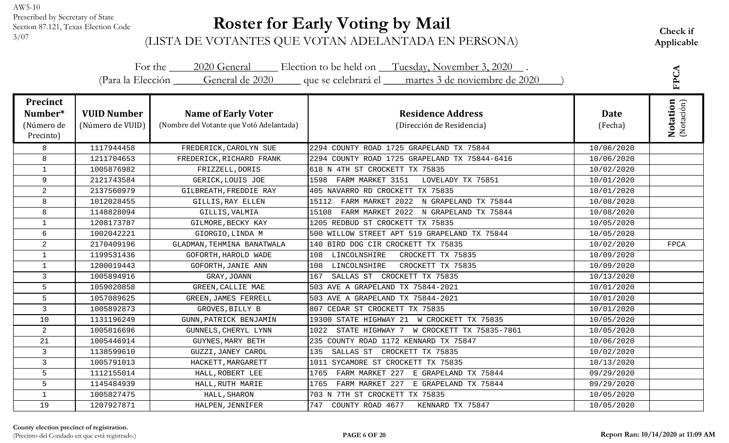# **Roster for Early Voting by Mail**

Check if<br><sup>3/07</sup> (LISTA DE VOTANTES QUE VOTAN ADELANTADA EN PERSONA) Applicable

|                                                       |                                        |                                                                        | For the 2020 General Election to be held on Tuesday, November 3, 2020.              |                        | FPCA                          |
|-------------------------------------------------------|----------------------------------------|------------------------------------------------------------------------|-------------------------------------------------------------------------------------|------------------------|-------------------------------|
|                                                       |                                        |                                                                        | (Para la Elección General de 2020 que se celebrará el martes 3 de noviembre de 2020 |                        |                               |
| <b>Precinct</b><br>Number*<br>(Número de<br>Precinto) | <b>VUID Number</b><br>(Número de VUID) | <b>Name of Early Voter</b><br>(Nombre del Votante que Votó Adelantada) | <b>Residence Address</b><br>(Dirección de Residencia)                               | <b>Date</b><br>(Fecha) | <b>Notation</b><br>(Notación) |
| 8                                                     | 1117944458                             | FREDERICK, CAROLYN SUE                                                 | 2294 COUNTY ROAD 1725 GRAPELAND TX 75844                                            | 10/06/2020             |                               |
| 8                                                     | 1211704653                             | FREDERICK, RICHARD FRANK                                               | 2294 COUNTY ROAD 1725 GRAPELAND TX 75844-6416                                       | 10/06/2020             |                               |
| $\mathbf{1}$                                          | 1005876982                             | FRIZZELL, DORIS                                                        | 618 N 4TH ST CROCKETT TX 75835                                                      | 10/02/2020             |                               |
| 9                                                     | 2121743584                             | GERICK, LOUIS JOE                                                      | FARM MARKET 3151<br>LOVELADY TX 75851<br>1598                                       | 10/01/2020             |                               |
| $\overline{2}$                                        | 2137560979                             | GILBREATH, FREDDIE RAY                                                 | 405 NAVARRO RD CROCKETT TX 75835                                                    | 10/01/2020             |                               |
| 8                                                     | 1012028455                             | GILLIS, RAY ELLEN                                                      | 15112<br>FARM MARKET 2022 N GRAPELAND TX 75844                                      | 10/08/2020             |                               |
| 8                                                     | 1148828094                             | GILLIS, VALMIA                                                         | 15108<br>FARM MARKET 2022 N GRAPELAND TX 75844                                      | 10/08/2020             |                               |
| $\mathbf{1}$                                          | 1208173787                             | GILMORE, BECKY KAY                                                     | 1205 REDBUD ST CROCKETT TX 75835                                                    | 10/05/2020             |                               |
| 6                                                     | 1002042221                             | GIORGIO, LINDA M                                                       | 500 WILLOW STREET APT 519 GRAPELAND TX 75844                                        | 10/05/2020             |                               |
| $\overline{a}$                                        | 2170409196                             | GLADMAN, TEHMINA BANATWALA                                             | 140 BIRD DOG CIR CROCKETT TX 75835                                                  | 10/02/2020             | FPCA                          |
| $\mathbf{1}$                                          | 1199531436                             | GOFORTH, HAROLD WADE                                                   | CROCKETT TX 75835<br>LINCOLNSHIRE<br>108                                            | 10/09/2020             |                               |
| $\mathbf{1}$                                          | 1200019443                             | GOFORTH, JANIE ANN                                                     | 108 LINCOLNSHIRE<br>CROCKETT TX 75835                                               | 10/09/2020             |                               |
| 3                                                     | 1005894916                             | GRAY, JOANN                                                            | SALLAS ST CROCKETT TX 75835<br>167                                                  | 10/13/2020             |                               |
| 5                                                     | 1059020858                             | GREEN, CALLIE MAE                                                      | 503 AVE A GRAPELAND TX 75844-2021                                                   | 10/01/2020             |                               |
| 5                                                     | 1057089625                             | GREEN, JAMES FERRELL                                                   | 503 AVE A GRAPELAND TX 75844-2021                                                   | 10/01/2020             |                               |
| $\mathsf{3}$                                          | 1005892873                             | GROVES, BILLY B                                                        | 807 CEDAR ST CROCKETT TX 75835                                                      | 10/01/2020             |                               |
| 10                                                    | 1131196249                             | GUNN, PATRICK BENJAMIN                                                 | 19300 STATE HIGHWAY 21 W CROCKETT TX 75835                                          | 10/05/2020             |                               |
| $\overline{a}$                                        | 1005816696                             | GUNNELS, CHERYL LYNN                                                   | STATE HIGHWAY 7 W CROCKETT TX 75835-7861<br>1022                                    | 10/05/2020             |                               |
| 21                                                    | 1005446914                             | GUYNES, MARY BETH                                                      | 235 COUNTY ROAD 1172 KENNARD TX 75847                                               | 10/06/2020             |                               |
| 3                                                     | 1138599610                             | GUZZI, JANEY CAROL                                                     | 135<br>SALLAS ST CROCKETT TX 75835                                                  | 10/02/2020             |                               |
| 3                                                     | 1005791013                             | HACKETT, MARGARETT                                                     | SYCAMORE ST CROCKETT TX 75835<br>1011                                               | 10/13/2020             |                               |
| 5                                                     | 1112155014                             | HALL, ROBERT LEE                                                       | E GRAPELAND TX 75844<br>1765<br>FARM MARKET 227                                     | 09/29/2020             |                               |
| 5                                                     | 1145484939                             | HALL, RUTH MARIE                                                       | 1765<br>FARM MARKET 227 E GRAPELAND TX 75844                                        | 09/29/2020             |                               |
| $\mathbf{1}$                                          | 1005827475                             | HALL, SHARON                                                           | 703 N 7TH ST CROCKETT TX 75835                                                      | 10/05/2020             |                               |
| 19                                                    | 1207927871                             | HALPEN, JENNIFER                                                       | 747 COUNTY ROAD 4677<br>KENNARD TX 75847                                            | 10/05/2020             |                               |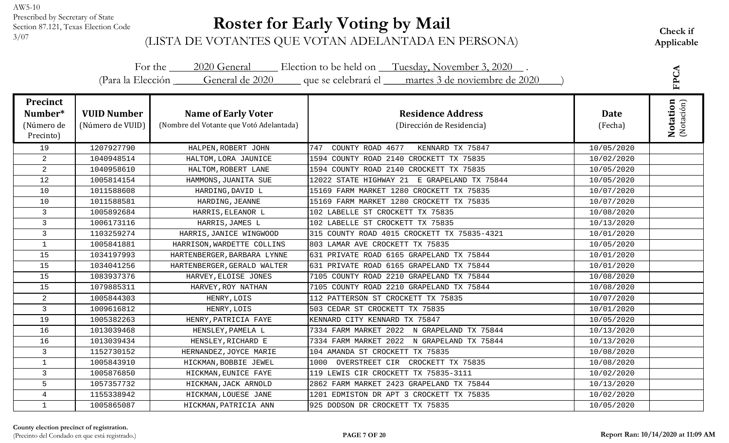# **Roster for Early Voting by Mail**

| For the 2020 General Election to be held on Tuesday, November 3, 2020.<br>(Para la Elección General de 2020 que se celebrará el martes 3 de noviembre de 2020 |                                        |                                                                        |                                                       |                        |                                       |
|---------------------------------------------------------------------------------------------------------------------------------------------------------------|----------------------------------------|------------------------------------------------------------------------|-------------------------------------------------------|------------------------|---------------------------------------|
| <b>Precinct</b><br>Number*<br>(Número de<br>Precinto)                                                                                                         | <b>VUID Number</b><br>(Número de VUID) | <b>Name of Early Voter</b><br>(Nombre del Votante que Votó Adelantada) | <b>Residence Address</b><br>(Dirección de Residencia) | <b>Date</b><br>(Fecha) | <b>FPCA</b><br>Notation<br>(Notación) |
| 19                                                                                                                                                            | 1207927790                             | HALPEN, ROBERT JOHN                                                    | COUNTY ROAD 4677<br>747<br>KENNARD TX 75847           | 10/05/2020             |                                       |
| $\overline{c}$                                                                                                                                                | 1040948514                             | HALTOM, LORA JAUNICE                                                   | 1594 COUNTY ROAD 2140 CROCKETT TX 75835               | 10/02/2020             |                                       |
| $\overline{a}$                                                                                                                                                | 1040958610                             | HALTOM, ROBERT LANE                                                    | 1594 COUNTY ROAD 2140 CROCKETT TX 75835               | 10/05/2020             |                                       |
| 12                                                                                                                                                            | 1005814154                             | HAMMONS, JUANITA SUE                                                   | 12022 STATE HIGHWAY 21 E GRAPELAND TX 75844           | 10/05/2020             |                                       |
| 10                                                                                                                                                            | 1011588608                             | HARDING, DAVID L                                                       | 15169 FARM MARKET 1280 CROCKETT TX 75835              | 10/07/2020             |                                       |
| 10                                                                                                                                                            | 1011588581                             | HARDING, JEANNE                                                        | 15169 FARM MARKET 1280 CROCKETT TX 75835              | 10/07/2020             |                                       |
| 3                                                                                                                                                             | 1005892684                             | HARRIS, ELEANOR L                                                      | 102 LABELLE ST CROCKETT TX 75835                      | 10/08/2020             |                                       |
| 3                                                                                                                                                             | 1006173116                             | HARRIS, JAMES L                                                        | 102 LABELLE ST CROCKETT TX 75835                      | 10/13/2020             |                                       |
| 3                                                                                                                                                             | 1103259274                             | HARRIS, JANICE WINGWOOD                                                | 315 COUNTY ROAD 4015 CROCKETT TX 75835-4321           | 10/01/2020             |                                       |
| $\mathbf{1}$                                                                                                                                                  | 1005841881                             | HARRISON, WARDETTE COLLINS                                             | 803 LAMAR AVE CROCKETT TX 75835                       | 10/05/2020             |                                       |
| 15                                                                                                                                                            | 1034197993                             | HARTENBERGER, BARBARA LYNNE                                            | 631 PRIVATE ROAD 6165 GRAPELAND TX 75844              | 10/01/2020             |                                       |
| 15                                                                                                                                                            | 1034041256                             | HARTENBERGER, GERALD WALTER                                            | 631 PRIVATE ROAD 6165 GRAPELAND TX 75844              | 10/01/2020             |                                       |
| 15                                                                                                                                                            | 1083937376                             | HARVEY, ELOISE JONES                                                   | 7105 COUNTY ROAD 2210 GRAPELAND TX 75844              | 10/08/2020             |                                       |
| 15                                                                                                                                                            | 1079885311                             | HARVEY, ROY NATHAN                                                     | 7105 COUNTY ROAD 2210 GRAPELAND TX 75844              | 10/08/2020             |                                       |
| $\overline{2}$                                                                                                                                                | 1005844303                             | HENRY, LOIS                                                            | 112 PATTERSON ST CROCKETT TX 75835                    | 10/07/2020             |                                       |
| $\overline{3}$                                                                                                                                                | 1009616812                             | HENRY, LOIS                                                            | 503 CEDAR ST CROCKETT TX 75835                        | 10/01/2020             |                                       |
| 19                                                                                                                                                            | 1005382263                             | HENRY, PATRICIA FAYE                                                   | KENNARD CITY KENNARD TX 75847                         | 10/05/2020             |                                       |
| 16                                                                                                                                                            | 1013039468                             | HENSLEY, PAMELA L                                                      | 7334 FARM MARKET 2022 N GRAPELAND TX 75844            | 10/13/2020             |                                       |
| 16                                                                                                                                                            | 1013039434                             | HENSLEY, RICHARD E                                                     | 7334 FARM MARKET 2022 N GRAPELAND TX 75844            | 10/13/2020             |                                       |
| $\mathsf{3}$                                                                                                                                                  | 1152730152                             | HERNANDEZ, JOYCE MARIE                                                 | 104 AMANDA ST CROCKETT TX 75835                       | 10/08/2020             |                                       |
| $\mathbf{1}$                                                                                                                                                  | 1005843910                             | HICKMAN, BOBBIE JEWEL                                                  | OVERSTREET CIR CROCKETT TX 75835<br>1000              | 10/08/2020             |                                       |
| 3                                                                                                                                                             | 1005876850                             | HICKMAN, EUNICE FAYE                                                   | 119 LEWIS CIR CROCKETT TX 75835-3111                  | 10/02/2020             |                                       |
| 5                                                                                                                                                             | 1057357732                             | HICKMAN, JACK ARNOLD                                                   | 2862 FARM MARKET 2423 GRAPELAND TX 75844              | 10/13/2020             |                                       |
| $\overline{4}$                                                                                                                                                | 1155338942                             | HICKMAN, LOUESE JANE                                                   | 1201 EDMISTON DR APT 3 CROCKETT TX 75835              | 10/02/2020             |                                       |
| $\mathbf{1}$                                                                                                                                                  | 1005865087                             | HICKMAN, PATRICIA ANN                                                  | 925 DODSON DR CROCKETT TX 75835                       | 10/05/2020             |                                       |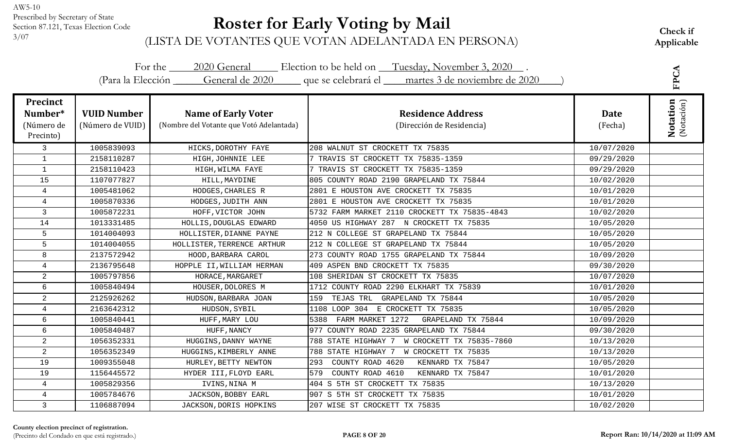# **Roster for Early Voting by Mail**

| For the 2020 General Election to be held on Tuesday, November 3, 2020.<br>(Para la Elección General de 2020 que se celebrará el martes 3 de noviembre de 2020 |                                        |                                                                        |                                                       |                 |                               |
|---------------------------------------------------------------------------------------------------------------------------------------------------------------|----------------------------------------|------------------------------------------------------------------------|-------------------------------------------------------|-----------------|-------------------------------|
| <b>Precinct</b><br>Number*<br>(Número de<br>Precinto)                                                                                                         | <b>VUID Number</b><br>(Número de VUID) | <b>Name of Early Voter</b><br>(Nombre del Votante que Votó Adelantada) | <b>Residence Address</b><br>(Dirección de Residencia) | Date<br>(Fecha) | <b>Notation</b><br>(Notación) |
| $\mathsf{3}$                                                                                                                                                  | 1005839093                             | HICKS, DOROTHY FAYE                                                    | 208 WALNUT ST CROCKETT TX 75835                       | 10/07/2020      |                               |
| $\mathbf{1}$                                                                                                                                                  | 2158110287                             | HIGH, JOHNNIE LEE                                                      | 7 TRAVIS ST CROCKETT TX 75835-1359                    | 09/29/2020      |                               |
| $\mathbf{1}$                                                                                                                                                  | 2158110423                             | HIGH, WILMA FAYE                                                       | 7 TRAVIS ST CROCKETT TX 75835-1359                    | 09/29/2020      |                               |
| 15                                                                                                                                                            | 1107077827                             | HILL, MAYDINE                                                          | 805 COUNTY ROAD 2190 GRAPELAND TX 75844               | 10/02/2020      |                               |
| $\overline{4}$                                                                                                                                                | 1005481062                             | HODGES, CHARLES R                                                      | 2801 E HOUSTON AVE CROCKETT TX 75835                  | 10/01/2020      |                               |
| $\overline{4}$                                                                                                                                                | 1005870336                             | HODGES, JUDITH ANN                                                     | 2801 E HOUSTON AVE CROCKETT TX 75835                  | 10/01/2020      |                               |
| $\mathbf{3}$                                                                                                                                                  | 1005872231                             | HOFF, VICTOR JOHN                                                      | 5732 FARM MARKET 2110 CROCKETT TX 75835-4843          | 10/02/2020      |                               |
| 14                                                                                                                                                            | 1013331485                             | HOLLIS, DOUGLAS EDWARD                                                 | 4050 US HIGHWAY 287 N CROCKETT TX 75835               | 10/05/2020      |                               |
| 5                                                                                                                                                             | 1014004093                             | HOLLISTER, DIANNE PAYNE                                                | 212 N COLLEGE ST GRAPELAND TX 75844                   | 10/05/2020      |                               |
| 5                                                                                                                                                             | 1014004055                             | HOLLISTER, TERRENCE ARTHUR                                             | 212 N COLLEGE ST GRAPELAND TX 75844                   | 10/05/2020      |                               |
| 8                                                                                                                                                             | 2137572942                             | HOOD, BARBARA CAROL                                                    | 273 COUNTY ROAD 1755 GRAPELAND TX 75844               | 10/09/2020      |                               |
| $\overline{4}$                                                                                                                                                | 2136795648                             | HOPPLE II, WILLIAM HERMAN                                              | 409 ASPEN BND CROCKETT TX 75835                       | 09/30/2020      |                               |
| $\overline{2}$                                                                                                                                                | 1005797856                             | HORACE, MARGARET                                                       | 108 SHERIDAN ST CROCKETT TX 75835                     | 10/07/2020      |                               |
| 6                                                                                                                                                             | 1005840494                             | HOUSER, DOLORES M                                                      | 1712 COUNTY ROAD 2290 ELKHART TX 75839                | 10/01/2020      |                               |
| $\overline{a}$                                                                                                                                                | 2125926262                             | HUDSON, BARBARA JOAN                                                   | 159 TEJAS TRL GRAPELAND TX 75844                      | 10/05/2020      |                               |
| $\overline{4}$                                                                                                                                                | 2163642312                             | HUDSON, SYBIL                                                          | 1108 LOOP 304 E CROCKETT TX 75835                     | 10/05/2020      |                               |
| 6                                                                                                                                                             | 1005840441                             | HUFF, MARY LOU                                                         | 5388 FARM MARKET 1272<br>GRAPELAND TX 75844           | 10/09/2020      |                               |
| 6                                                                                                                                                             | 1005840487                             | HUFF, NANCY                                                            | 977 COUNTY ROAD 2235 GRAPELAND TX 75844               | 09/30/2020      |                               |
| $\overline{c}$                                                                                                                                                | 1056352331                             | HUGGINS, DANNY WAYNE                                                   | 788 STATE HIGHWAY 7 W CROCKETT TX 75835-7860          | 10/13/2020      |                               |
| $\overline{2}$                                                                                                                                                | 1056352349                             | HUGGINS, KIMBERLY ANNE                                                 | 788 STATE HIGHWAY 7 W CROCKETT TX 75835               | 10/13/2020      |                               |
| 19                                                                                                                                                            | 1009355048                             | HURLEY, BETTY NEWTON                                                   | 293<br>COUNTY ROAD 4620<br>KENNARD TX 75847           | 10/05/2020      |                               |
| 19                                                                                                                                                            | 1156445572                             | HYDER III, FLOYD EARL                                                  | 579<br>COUNTY ROAD 4610<br>KENNARD TX 75847           | 10/01/2020      |                               |
| $\overline{4}$                                                                                                                                                | 1005829356                             | IVINS, NINA M                                                          | 404 S 5TH ST CROCKETT TX 75835                        | 10/13/2020      |                               |
| $\overline{4}$                                                                                                                                                | 1005784676                             | JACKSON, BOBBY EARL                                                    | 907 S 5TH ST CROCKETT TX 75835                        | 10/01/2020      |                               |
| $\mathbf{3}$                                                                                                                                                  | 1106887094                             | JACKSON, DORIS HOPKINS                                                 | 207 WISE ST CROCKETT TX 75835                         | 10/02/2020      |                               |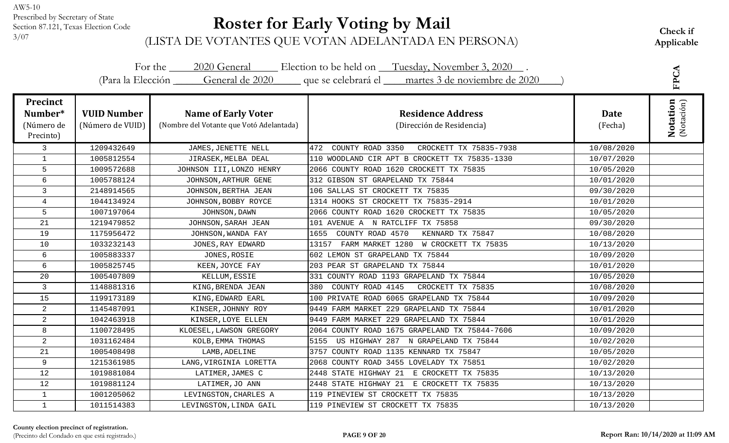# **Roster for Early Voting by Mail**

|                                                       |                                        |                                                                        | For the 2020 General Election to be held on Tuesday, November 3, 2020.<br>(Para la Elección General de 2020 que se celebrará el martes 3 de noviembre de 2020 |                        | FPCA                          |
|-------------------------------------------------------|----------------------------------------|------------------------------------------------------------------------|---------------------------------------------------------------------------------------------------------------------------------------------------------------|------------------------|-------------------------------|
|                                                       |                                        |                                                                        |                                                                                                                                                               |                        |                               |
| <b>Precinct</b><br>Number*<br>(Número de<br>Precinto) | <b>VUID Number</b><br>(Número de VUID) | <b>Name of Early Voter</b><br>(Nombre del Votante que Votó Adelantada) | <b>Residence Address</b><br>(Dirección de Residencia)                                                                                                         | <b>Date</b><br>(Fecha) | <b>Notation</b><br>(Notación) |
| 3                                                     | 1209432649                             | JAMES, JENETTE NELL                                                    | COUNTY ROAD 3350<br>472<br>CROCKETT TX 75835-7938                                                                                                             | 10/08/2020             |                               |
| $\mathbf{1}$                                          | 1005812554                             | JIRASEK, MELBA DEAL                                                    | 110 WOODLAND CIR APT B CROCKETT TX 75835-1330                                                                                                                 | 10/07/2020             |                               |
| 5                                                     | 1009572688                             | JOHNSON III, LONZO HENRY                                               | 2066 COUNTY ROAD 1620 CROCKETT TX 75835                                                                                                                       | 10/05/2020             |                               |
| 6                                                     | 1005788124                             | JOHNSON, ARTHUR GENE                                                   | 312 GIBSON ST GRAPELAND TX 75844                                                                                                                              | 10/01/2020             |                               |
| $\mathbf{3}$                                          | 2148914565                             | JOHNSON, BERTHA JEAN                                                   | 106 SALLAS ST CROCKETT TX 75835                                                                                                                               | 09/30/2020             |                               |
| $\overline{4}$                                        | 1044134924                             | JOHNSON, BOBBY ROYCE                                                   | 1314 HOOKS ST CROCKETT TX 75835-2914                                                                                                                          | 10/01/2020             |                               |
| 5                                                     | 1007197064                             | JOHNSON, DAWN                                                          | 2066 COUNTY ROAD 1620 CROCKETT TX 75835                                                                                                                       | 10/05/2020             |                               |
| 21                                                    | 1219479852                             | JOHNSON, SARAH JEAN                                                    | 101 AVENUE A N RATCLIFF TX 75858                                                                                                                              | 09/30/2020             |                               |
| 19                                                    | 1175956472                             | JOHNSON, WANDA FAY                                                     | COUNTY ROAD 4570<br>KENNARD TX 75847<br>1655                                                                                                                  | 10/08/2020             |                               |
| 10                                                    | 1033232143                             | JONES, RAY EDWARD                                                      | FARM MARKET 1280 W CROCKETT TX 75835<br>13157                                                                                                                 | 10/13/2020             |                               |
| 6                                                     | 1005883337                             | JONES, ROSIE                                                           | 602 LEMON ST GRAPELAND TX 75844                                                                                                                               | 10/09/2020             |                               |
| 6                                                     | 1005825745                             | KEEN, JOYCE FAY                                                        | 203 PEAR ST GRAPELAND TX 75844                                                                                                                                | 10/01/2020             |                               |
| 20                                                    | 1005407809                             | KELLUM, ESSIE                                                          | 331 COUNTY ROAD 1193 GRAPELAND TX 75844                                                                                                                       | 10/05/2020             |                               |
| 3                                                     | 1148881316                             | KING, BRENDA JEAN                                                      | COUNTY ROAD 4145<br>CROCKETT TX 75835<br>380                                                                                                                  | 10/08/2020             |                               |
| 15                                                    | 1199173189                             | KING, EDWARD EARL                                                      | 100 PRIVATE ROAD 6065 GRAPELAND TX 75844                                                                                                                      | 10/09/2020             |                               |
| 2                                                     | 1145487091                             | KINSER, JOHNNY ROY                                                     | 9449 FARM MARKET 229 GRAPELAND TX 75844                                                                                                                       | 10/01/2020             |                               |
| $\overline{2}$                                        | 1042463918                             | KINSER, LOYE ELLEN                                                     | 9449 FARM MARKET 229 GRAPELAND TX 75844                                                                                                                       | 10/01/2020             |                               |
| 8                                                     | 1100728495                             | KLOESEL, LAWSON GREGORY                                                | 2064 COUNTY ROAD 1675 GRAPELAND TX 75844-7606                                                                                                                 | 10/09/2020             |                               |
| $\overline{2}$                                        | 1031162484                             | KOLB, EMMA THOMAS                                                      | US HIGHWAY 287 N GRAPELAND TX 75844<br>5155                                                                                                                   | 10/02/2020             |                               |
| 21                                                    | 1005408498                             | LAMB, ADELINE                                                          | 3757 COUNTY ROAD 1135 KENNARD TX 75847                                                                                                                        | 10/05/2020             |                               |
| 9                                                     | 1215361985                             | LANG, VIRGINIA LORETTA                                                 | 2068 COUNTY ROAD 3455 LOVELADY TX 75851                                                                                                                       | 10/02/2020             |                               |
| 12                                                    | 1019881084                             | LATIMER, JAMES C                                                       | 2448 STATE HIGHWAY 21 E CROCKETT TX 75835                                                                                                                     | 10/13/2020             |                               |
| 12                                                    | 1019881124                             | LATIMER, JO ANN                                                        | 2448 STATE HIGHWAY 21 E CROCKETT TX 75835                                                                                                                     | 10/13/2020             |                               |
| $\mathbf{1}$                                          | 1001205062                             | LEVINGSTON, CHARLES A                                                  | 119 PINEVIEW ST CROCKETT TX 75835                                                                                                                             | 10/13/2020             |                               |
| $\mathbf{1}$                                          | 1011514383                             | LEVINGSTON, LINDA GAIL                                                 | 119 PINEVIEW ST CROCKETT TX 75835                                                                                                                             | 10/13/2020             |                               |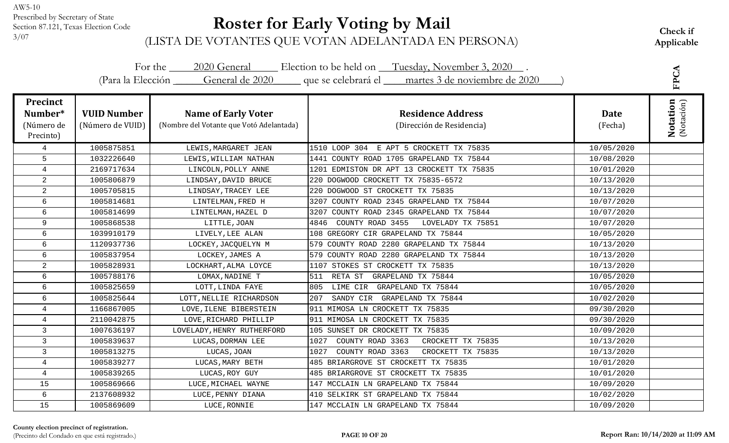# **Roster for Early Voting by Mail**

Check if<br><sup>3/07</sup> (LISTA DE VOTANTES QUE VOTAN ADELANTADA EN PERSONA) Applicable

| For the 2020 General Election to be held on Tuesday, November 3, 2020.<br>(Para la Elección General de 2020 que se celebrará el martes 3 de noviembre de 2020 |                                        |                                                                        |                                                       |                 |                               |
|---------------------------------------------------------------------------------------------------------------------------------------------------------------|----------------------------------------|------------------------------------------------------------------------|-------------------------------------------------------|-----------------|-------------------------------|
| <b>Precinct</b><br>Number*<br>(Número de<br>Precinto)                                                                                                         | <b>VUID Number</b><br>(Número de VUID) | <b>Name of Early Voter</b><br>(Nombre del Votante que Votó Adelantada) | <b>Residence Address</b><br>(Dirección de Residencia) | Date<br>(Fecha) | <b>Notation</b><br>(Notación) |
| $\overline{4}$                                                                                                                                                | 1005875851                             | LEWIS, MARGARET JEAN                                                   | 1510 LOOP 304 E APT 5 CROCKETT TX 75835               | 10/05/2020      |                               |
| 5                                                                                                                                                             | 1032226640                             | LEWIS, WILLIAM NATHAN                                                  | 1441 COUNTY ROAD 1705 GRAPELAND TX 75844              | 10/08/2020      |                               |
| 4                                                                                                                                                             | 2169717634                             | LINCOLN, POLLY ANNE                                                    | 1201 EDMISTON DR APT 13 CROCKETT TX 75835             | 10/01/2020      |                               |
| $\overline{a}$                                                                                                                                                | 1005806879                             | LINDSAY, DAVID BRUCE                                                   | 220 DOGWOOD CROCKETT TX 75835-6572                    | 10/13/2020      |                               |
| $\overline{2}$                                                                                                                                                | 1005705815                             | LINDSAY, TRACEY LEE                                                    | 220 DOGWOOD ST CROCKETT TX 75835                      | 10/13/2020      |                               |
| 6                                                                                                                                                             | 1005814681                             | LINTELMAN, FRED H                                                      | 3207 COUNTY ROAD 2345 GRAPELAND TX 75844              | 10/07/2020      |                               |
| 6                                                                                                                                                             | 1005814699                             | LINTELMAN, HAZEL D                                                     | 3207 COUNTY ROAD 2345 GRAPELAND TX 75844              | 10/07/2020      |                               |
| 9                                                                                                                                                             | 1005868538                             | LITTLE, JOAN                                                           | 4846<br>COUNTY ROAD 3455<br>LOVELADY TX 75851         | 10/07/2020      |                               |
| 6                                                                                                                                                             | 1039910179                             | LIVELY, LEE ALAN                                                       | 108 GREGORY CIR GRAPELAND TX 75844                    | 10/05/2020      |                               |
| 6                                                                                                                                                             | 1120937736                             | LOCKEY, JACQUELYN M                                                    | 579 COUNTY ROAD 2280 GRAPELAND TX 75844               | 10/13/2020      |                               |
| 6                                                                                                                                                             | 1005837954                             | LOCKEY, JAMES A                                                        | 579 COUNTY ROAD 2280 GRAPELAND TX 75844               | 10/13/2020      |                               |
| $\overline{2}$                                                                                                                                                | 1005828931                             | LOCKHART, ALMA LOYCE                                                   | 1107 STOKES ST CROCKETT TX 75835                      | 10/13/2020      |                               |
| 6                                                                                                                                                             | 1005788176                             | LOMAX, NADINE T                                                        | 511<br>RETA ST GRAPELAND TX 75844                     | 10/05/2020      |                               |
| 6                                                                                                                                                             | 1005825659                             | LOTT, LINDA FAYE                                                       | 805<br>LIME CIR GRAPELAND TX 75844                    | 10/05/2020      |                               |
| 6                                                                                                                                                             | 1005825644                             | LOTT, NELLIE RICHARDSON                                                | 207<br>SANDY CIR GRAPELAND TX 75844                   | 10/02/2020      |                               |
| $\overline{4}$                                                                                                                                                | 1166867005                             | LOVE, ILENE BIBERSTEIN                                                 | 911 MIMOSA LN CROCKETT TX 75835                       | 09/30/2020      |                               |
| $\overline{4}$                                                                                                                                                | 2110042875                             | LOVE, RICHARD PHILLIP                                                  | 911 MIMOSA LN CROCKETT TX 75835                       | 09/30/2020      |                               |
| 3                                                                                                                                                             | 1007636197                             | LOVELADY, HENRY RUTHERFORD                                             | 105 SUNSET DR CROCKETT TX 75835                       | 10/09/2020      |                               |
| 3                                                                                                                                                             | 1005839637                             | LUCAS, DORMAN LEE                                                      | COUNTY ROAD 3363<br>CROCKETT TX 75835<br>1027         | 10/13/2020      |                               |
| 3                                                                                                                                                             | 1005813275                             | LUCAS, JOAN                                                            | COUNTY ROAD 3363<br>CROCKETT TX 75835<br>1027         | 10/13/2020      |                               |
| 4                                                                                                                                                             | 1005839277                             | LUCAS, MARY BETH                                                       | 485 BRIARGROVE ST CROCKETT TX 75835                   | 10/01/2020      |                               |
| 4                                                                                                                                                             | 1005839265                             | LUCAS, ROY GUY                                                         | 485 BRIARGROVE ST CROCKETT TX 75835                   | 10/01/2020      |                               |
| 15                                                                                                                                                            | 1005869666                             | LUCE, MICHAEL WAYNE                                                    | 147 MCCLAIN LN GRAPELAND TX 75844                     | 10/09/2020      |                               |
| 6                                                                                                                                                             | 2137608932                             | LUCE, PENNY DIANA                                                      | 410 SELKIRK ST GRAPELAND TX 75844                     | 10/02/2020      |                               |
| 15                                                                                                                                                            | 1005869609                             | LUCE, RONNIE                                                           | 147 MCCLAIN LN GRAPELAND TX 75844                     | 10/09/2020      |                               |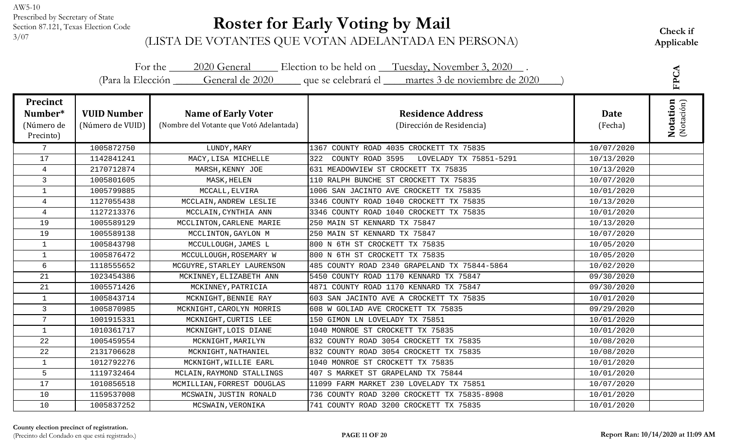# **Roster for Early Voting by Mail**

| For the 2020 General Election to be held on Tuesday, November 3, 2020.<br>(Para la Elección General de 2020 que se celebrará el martes 3 de noviembre de 2020 |                                        |                                                                        |                                                       |                 |                               |
|---------------------------------------------------------------------------------------------------------------------------------------------------------------|----------------------------------------|------------------------------------------------------------------------|-------------------------------------------------------|-----------------|-------------------------------|
| <b>Precinct</b><br>Number*<br>(Número de<br>Precinto)                                                                                                         | <b>VUID Number</b><br>(Número de VUID) | <b>Name of Early Voter</b><br>(Nombre del Votante que Votó Adelantada) | <b>Residence Address</b><br>(Dirección de Residencia) | Date<br>(Fecha) | <b>Notation</b><br>(Notación) |
| $7\overline{ }$                                                                                                                                               | 1005872750                             | LUNDY, MARY                                                            | 1367 COUNTY ROAD 4035 CROCKETT TX 75835               | 10/07/2020      |                               |
| 17                                                                                                                                                            | 1142841241                             | MACY, LISA MICHELLE                                                    | COUNTY ROAD 3595<br>LOVELADY TX 75851-5291<br>322     | 10/13/2020      |                               |
| $\overline{4}$                                                                                                                                                | 2170712874                             | MARSH, KENNY JOE                                                       | 631 MEADOWVIEW ST CROCKETT TX 75835                   | 10/13/2020      |                               |
| 3                                                                                                                                                             | 1005801605                             | MASK, HELEN                                                            | 110 RALPH BUNCHE ST CROCKETT TX 75835                 | 10/07/2020      |                               |
| $\mathbf{1}$                                                                                                                                                  | 1005799885                             | MCCALL, ELVIRA                                                         | 1006 SAN JACINTO AVE CROCKETT TX 75835                | 10/01/2020      |                               |
| $\overline{4}$                                                                                                                                                | 1127055438                             | MCCLAIN, ANDREW LESLIE                                                 | 3346 COUNTY ROAD 1040 CROCKETT TX 75835               | 10/13/2020      |                               |
| $\overline{4}$                                                                                                                                                | 1127213376                             | MCCLAIN, CYNTHIA ANN                                                   | 3346 COUNTY ROAD 1040 CROCKETT TX 75835               | 10/01/2020      |                               |
| 19                                                                                                                                                            | 1005589129                             | MCCLINTON, CARLENE MARIE                                               | 250 MAIN ST KENNARD TX 75847                          | 10/13/2020      |                               |
| 19                                                                                                                                                            | 1005589138                             | MCCLINTON, GAYLON M                                                    | 250 MAIN ST KENNARD TX 75847                          | 10/07/2020      |                               |
| $\mathbf{1}$                                                                                                                                                  | 1005843798                             | MCCULLOUGH, JAMES L                                                    | 800 N 6TH ST CROCKETT TX 75835                        | 10/05/2020      |                               |
| $\mathbf{1}$                                                                                                                                                  | 1005876472                             | MCCULLOUGH, ROSEMARY W                                                 | 800 N 6TH ST CROCKETT TX 75835                        | 10/05/2020      |                               |
| $6\overline{6}$                                                                                                                                               | 1118555652                             | MCGUYRE, STARLEY LAURENSON                                             | 485 COUNTY ROAD 2340 GRAPELAND TX 75844-5864          | 10/02/2020      |                               |
| 21                                                                                                                                                            | 1023454386                             | MCKINNEY, ELIZABETH ANN                                                | 5450 COUNTY ROAD 1170 KENNARD TX 75847                | 09/30/2020      |                               |
| 21                                                                                                                                                            | 1005571426                             | MCKINNEY, PATRICIA                                                     | 4871 COUNTY ROAD 1170 KENNARD TX 75847                | 09/30/2020      |                               |
| $\mathbf{1}$                                                                                                                                                  | 1005843714                             | MCKNIGHT, BENNIE RAY                                                   | 603 SAN JACINTO AVE A CROCKETT TX 75835               | 10/01/2020      |                               |
| 3                                                                                                                                                             | 1005870985                             | MCKNIGHT, CAROLYN MORRIS                                               | 608 W GOLIAD AVE CROCKETT TX 75835                    | 09/29/2020      |                               |
| $7\phantom{.}$                                                                                                                                                | 1001915331                             | MCKNIGHT, CURTIS LEE                                                   | 150 GIMON LN LOVELADY TX 75851                        | 10/01/2020      |                               |
| $\mathbf{1}$                                                                                                                                                  | 1010361717                             | MCKNIGHT, LOIS DIANE                                                   | 1040 MONROE ST CROCKETT TX 75835                      | 10/01/2020      |                               |
| 22                                                                                                                                                            | 1005459554                             | MCKNIGHT, MARILYN                                                      | 832 COUNTY ROAD 3054 CROCKETT TX 75835                | 10/08/2020      |                               |
| 22                                                                                                                                                            | 2131706628                             | MCKNIGHT, NATHANIEL                                                    | 832 COUNTY ROAD 3054 CROCKETT TX 75835                | 10/08/2020      |                               |
| $\mathbf{1}$                                                                                                                                                  | 1012792276                             | MCKNIGHT, WILLIE EARL                                                  | 1040 MONROE ST CROCKETT TX 75835                      | 10/01/2020      |                               |
| 5                                                                                                                                                             | 1119732464                             | MCLAIN, RAYMOND STALLINGS                                              | 407 S MARKET ST GRAPELAND TX 75844                    | 10/01/2020      |                               |
| 17                                                                                                                                                            | 1010856518                             | MCMILLIAN, FORREST DOUGLAS                                             | 11099 FARM MARKET 230 LOVELADY TX 75851               | 10/07/2020      |                               |
| 10                                                                                                                                                            | 1159537008                             | MCSWAIN, JUSTIN RONALD                                                 | 736 COUNTY ROAD 3200 CROCKETT TX 75835-8908           | 10/01/2020      |                               |
| 10                                                                                                                                                            | 1005837252                             | MCSWAIN, VERONIKA                                                      | 741 COUNTY ROAD 3200 CROCKETT TX 75835                | 10/01/2020      |                               |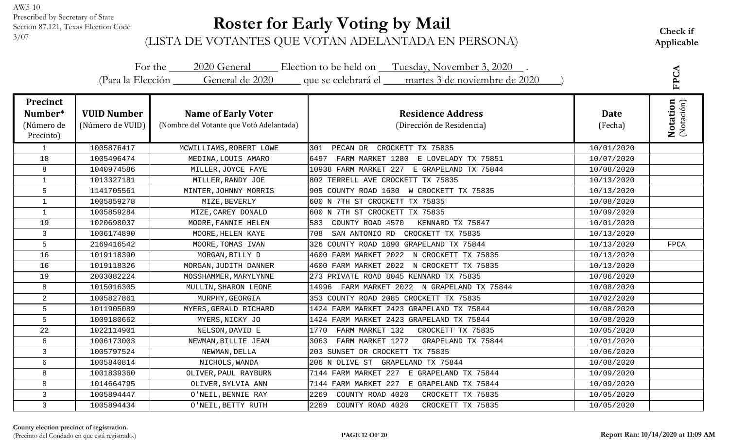# **Roster for Early Voting by Mail**

|                                                       |                                        |                                                                        | For the 2020 General Election to be held on Tuesday, November 3, 2020.<br>(Para la Elección General de 2020 que se celebrará el martes 3 de noviembre de 2020 |                        | FPCA                          |
|-------------------------------------------------------|----------------------------------------|------------------------------------------------------------------------|---------------------------------------------------------------------------------------------------------------------------------------------------------------|------------------------|-------------------------------|
|                                                       |                                        |                                                                        |                                                                                                                                                               |                        |                               |
| <b>Precinct</b><br>Number*<br>(Número de<br>Precinto) | <b>VUID Number</b><br>(Número de VUID) | <b>Name of Early Voter</b><br>(Nombre del Votante que Votó Adelantada) | <b>Residence Address</b><br>(Dirección de Residencia)                                                                                                         | <b>Date</b><br>(Fecha) | <b>Notation</b><br>(Notación) |
| $\mathbf{1}$                                          | 1005876417                             | MCWILLIAMS, ROBERT LOWE                                                | 301<br>PECAN DR<br>CROCKETT TX 75835                                                                                                                          | 10/01/2020             |                               |
| 18                                                    | 1005496474                             | MEDINA, LOUIS AMARO                                                    | FARM MARKET 1280<br>E LOVELADY TX 75851<br>6497                                                                                                               | 10/07/2020             |                               |
| 8                                                     | 1040974586                             | MILLER, JOYCE FAYE                                                     | 10938 FARM MARKET 227 E GRAPELAND TX 75844                                                                                                                    | 10/08/2020             |                               |
| $\mathbf 1$                                           | 1013327181                             | MILLER, RANDY JOE                                                      | 802 TERRELL AVE CROCKETT TX 75835                                                                                                                             | 10/13/2020             |                               |
| 5                                                     | 1141705561                             | MINTER, JOHNNY MORRIS                                                  | 905 COUNTY ROAD 1630 W CROCKETT TX 75835                                                                                                                      | 10/13/2020             |                               |
| $\mathbf{1}$                                          | 1005859278                             | MIZE, BEVERLY                                                          | 600 N 7TH ST CROCKETT TX 75835                                                                                                                                | 10/08/2020             |                               |
| $\mathbf{1}$                                          | 1005859284                             | MIZE, CAREY DONALD                                                     | 600 N 7TH ST CROCKETT TX 75835                                                                                                                                | 10/09/2020             |                               |
| 19                                                    | 1020698037                             | MOORE, FANNIE HELEN                                                    | 583<br>COUNTY ROAD 4570<br>KENNARD TX 75847                                                                                                                   | 10/01/2020             |                               |
| 3                                                     | 1006174890                             | MOORE, HELEN KAYE                                                      | 708<br>SAN ANTONIO RD CROCKETT TX 75835                                                                                                                       | 10/13/2020             |                               |
| 5                                                     | 2169416542                             | MOORE, TOMAS IVAN                                                      | 326 COUNTY ROAD 1890 GRAPELAND TX 75844                                                                                                                       | 10/13/2020             | FPCA                          |
| 16                                                    | 1019118390                             | MORGAN, BILLY D                                                        | 4600 FARM MARKET 2022 N CROCKETT TX 75835                                                                                                                     | 10/13/2020             |                               |
| 16                                                    | 1019118326                             | MORGAN, JUDITH DANNER                                                  | 4600 FARM MARKET 2022 N CROCKETT TX 75835                                                                                                                     | 10/13/2020             |                               |
| 19                                                    | 2003082224                             | MOSSHAMMER, MARYLYNNE                                                  | 273 PRIVATE ROAD 8045 KENNARD TX 75835                                                                                                                        | 10/06/2020             |                               |
| 8                                                     | 1015016305                             | MULLIN, SHARON LEONE                                                   | FARM MARKET 2022 N GRAPELAND TX 75844<br>14996                                                                                                                | 10/08/2020             |                               |
| $\overline{2}$                                        | 1005827861                             | MURPHY, GEORGIA                                                        | 353 COUNTY ROAD 2085 CROCKETT TX 75835                                                                                                                        | 10/02/2020             |                               |
| 5                                                     | 1011905089                             | MYERS, GERALD RICHARD                                                  | 1424 FARM MARKET 2423 GRAPELAND TX 75844                                                                                                                      | 10/08/2020             |                               |
| 5                                                     | 1009180662                             | MYERS, NICKY JO                                                        | 1424 FARM MARKET 2423 GRAPELAND TX 75844                                                                                                                      | 10/08/2020             |                               |
| 22                                                    | 1022114901                             | NELSON, DAVID E                                                        | CROCKETT TX 75835<br>1770<br>FARM MARKET 132                                                                                                                  | 10/05/2020             |                               |
| 6                                                     | 1006173003                             | NEWMAN, BILLIE JEAN                                                    | FARM MARKET 1272<br>3063<br>GRAPELAND TX 75844                                                                                                                | 10/01/2020             |                               |
| 3                                                     | 1005797524                             | NEWMAN, DELLA                                                          | 203 SUNSET DR CROCKETT TX 75835                                                                                                                               | 10/06/2020             |                               |
| 6                                                     | 1005840814                             | NICHOLS, WANDA                                                         | GRAPELAND TX 75844<br>206 N OLIVE ST                                                                                                                          | 10/08/2020             |                               |
| 8                                                     | 1001839360                             | OLIVER, PAUL RAYBURN                                                   | 7144 FARM MARKET 227 E GRAPELAND TX 75844                                                                                                                     | 10/09/2020             |                               |
| 8                                                     | 1014664795                             | OLIVER, SYLVIA ANN                                                     | 7144 FARM MARKET 227 E GRAPELAND TX 75844                                                                                                                     | 10/09/2020             |                               |
| $\mathsf{3}$                                          | 1005894447                             | O'NEIL, BENNIE RAY                                                     | COUNTY ROAD 4020<br>CROCKETT TX 75835<br>2269                                                                                                                 | 10/05/2020             |                               |
| $\mathbf{3}$                                          | 1005894434                             | O'NEIL, BETTY RUTH                                                     | 2269<br>COUNTY ROAD 4020<br>CROCKETT TX 75835                                                                                                                 | 10/05/2020             |                               |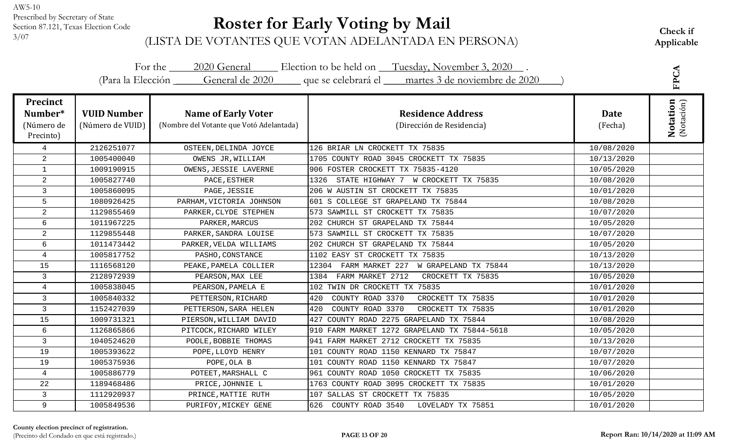# **Roster for Early Voting by Mail**

Check if<br><sup>3/07</sup> (LISTA DE VOTANTES QUE VOTAN ADELANTADA EN PERSONA) Applicable

|                                                       |                                        |                                                                        | For the 2020 General Election to be held on Tuesday, November 3, 2020.<br>(Para la Elección General de 2020 que se celebrará el martes 3 de noviembre de 2020 |                 | FPCA                          |
|-------------------------------------------------------|----------------------------------------|------------------------------------------------------------------------|---------------------------------------------------------------------------------------------------------------------------------------------------------------|-----------------|-------------------------------|
| <b>Precinct</b><br>Number*<br>(Número de<br>Precinto) | <b>VUID Number</b><br>(Número de VUID) | <b>Name of Early Voter</b><br>(Nombre del Votante que Votó Adelantada) | <b>Residence Address</b><br>(Dirección de Residencia)                                                                                                         | Date<br>(Fecha) | <b>Notation</b><br>(Notación) |
| 4                                                     | 2126251077                             | OSTEEN, DELINDA JOYCE                                                  | 126 BRIAR LN CROCKETT TX 75835                                                                                                                                | 10/08/2020      |                               |
| $\overline{2}$                                        | 1005400040                             | OWENS JR, WILLIAM                                                      | 1705 COUNTY ROAD 3045 CROCKETT TX 75835                                                                                                                       | 10/13/2020      |                               |
| $\mathbf{1}$                                          | 1009190915                             | OWENS, JESSIE LAVERNE                                                  | 906 FOSTER CROCKETT TX 75835-4120                                                                                                                             | 10/05/2020      |                               |
| $\overline{a}$                                        | 1005827740                             | PACE, ESTHER                                                           | 1326 STATE HIGHWAY 7 W CROCKETT TX 75835                                                                                                                      | 10/08/2020      |                               |
| $\mathsf{3}$                                          | 1005860095                             | PAGE, JESSIE                                                           | 206 W AUSTIN ST CROCKETT TX 75835                                                                                                                             | 10/01/2020      |                               |
| 5                                                     | 1080926425                             | PARHAM, VICTORIA JOHNSON                                               | 601 S COLLEGE ST GRAPELAND TX 75844                                                                                                                           | 10/08/2020      |                               |
| $\overline{2}$                                        | 1129855469                             | PARKER, CLYDE STEPHEN                                                  | 573 SAWMILL ST CROCKETT TX 75835                                                                                                                              | 10/07/2020      |                               |
| 6                                                     | 1011967225                             | PARKER, MARCUS                                                         | 202 CHURCH ST GRAPELAND TX 75844                                                                                                                              | 10/05/2020      |                               |
| $\overline{a}$                                        | 1129855448                             | PARKER, SANDRA LOUISE                                                  | 573 SAWMILL ST CROCKETT TX 75835                                                                                                                              | 10/07/2020      |                               |
| 6                                                     | 1011473442                             | PARKER, VELDA WILLIAMS                                                 | 202 CHURCH ST GRAPELAND TX 75844                                                                                                                              | 10/05/2020      |                               |
| 4                                                     | 1005817752                             | PASHO, CONSTANCE                                                       | 1102 EASY ST CROCKETT TX 75835                                                                                                                                | 10/13/2020      |                               |
| 15                                                    | 1116568120                             | PEAKE, PAMELA COLLIER                                                  | 12304 FARM MARKET 227 W GRAPELAND TX 75844                                                                                                                    | 10/13/2020      |                               |
| $\mathsf{3}$                                          | 2128972939                             | PEARSON, MAX LEE                                                       | 1384 FARM MARKET 2712<br>CROCKETT TX 75835                                                                                                                    | 10/05/2020      |                               |
| 4                                                     | 1005838045                             | PEARSON, PAMELA E                                                      | 102 TWIN DR CROCKETT TX 75835                                                                                                                                 | 10/01/2020      |                               |
| 3                                                     | 1005840332                             | PETTERSON, RICHARD                                                     | 420<br>COUNTY ROAD 3370<br>CROCKETT TX 75835                                                                                                                  | 10/01/2020      |                               |
| $\mathbf{3}$                                          | 1152427039                             | PETTERSON, SARA HELEN                                                  | 420<br>COUNTY ROAD 3370<br>CROCKETT TX 75835                                                                                                                  | 10/01/2020      |                               |
| 15                                                    | 1009731321                             | PIERSON, WILLIAM DAVID                                                 | 427 COUNTY ROAD 2275 GRAPELAND TX 75844                                                                                                                       | 10/08/2020      |                               |
| 6                                                     | 1126865866                             | PITCOCK, RICHARD WILEY                                                 | 910 FARM MARKET 1272 GRAPELAND TX 75844-5618                                                                                                                  | 10/05/2020      |                               |
| $\mathsf{3}$                                          | 1040524620                             | POOLE, BOBBIE THOMAS                                                   | 941 FARM MARKET 2712 CROCKETT TX 75835                                                                                                                        | 10/13/2020      |                               |
| 19                                                    | 1005393622                             | POPE, LLOYD HENRY                                                      | 101 COUNTY ROAD 1150 KENNARD TX 75847                                                                                                                         | 10/07/2020      |                               |
| 19                                                    | 1005375936                             | POPE, OLA B                                                            | 101 COUNTY ROAD 1150 KENNARD TX 75847                                                                                                                         | 10/07/2020      |                               |
| 4                                                     | 1005886779                             | POTEET, MARSHALL C                                                     | 961 COUNTY ROAD 1050 CROCKETT TX 75835                                                                                                                        | 10/06/2020      |                               |
| 22                                                    | 1189468486                             | PRICE, JOHNNIE L                                                       | 1763 COUNTY ROAD 3095 CROCKETT TX 75835                                                                                                                       | 10/01/2020      |                               |
| $\mathsf{3}$                                          | 1112920937                             | PRINCE, MATTIE RUTH                                                    | 107 SALLAS ST CROCKETT TX 75835                                                                                                                               | 10/05/2020      |                               |
| 9                                                     | 1005849536                             | PURIFOY, MICKEY GENE                                                   | 626 COUNTY ROAD 3540<br>LOVELADY TX 75851                                                                                                                     | 10/01/2020      |                               |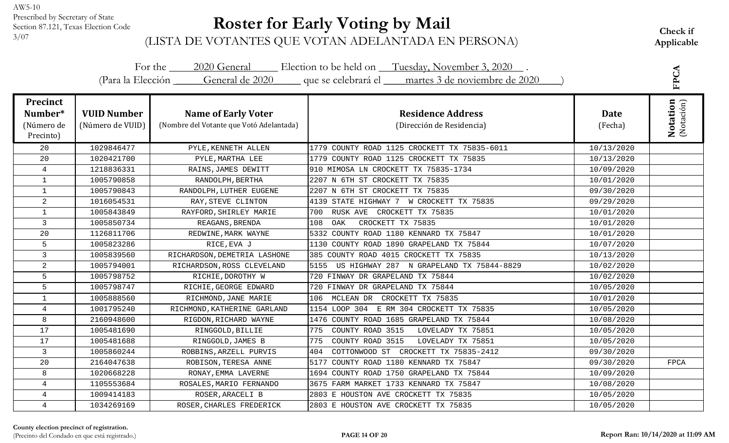# **Roster for Early Voting by Mail**

Check if<br><sup>3/07</sup> (LISTA DE VOTANTES QUE VOTAN ADELANTADA EN PERSONA) Applicable

|                                                       |                                        |                                                                        | For the 2020 General Election to be held on Tuesday, November 3, 2020.<br>(Para la Elección General de 2020 que se celebrará el martes 3 de noviembre de 2020 |                 | FPCA                          |
|-------------------------------------------------------|----------------------------------------|------------------------------------------------------------------------|---------------------------------------------------------------------------------------------------------------------------------------------------------------|-----------------|-------------------------------|
| <b>Precinct</b><br>Number*<br>(Número de<br>Precinto) | <b>VUID Number</b><br>(Número de VUID) | <b>Name of Early Voter</b><br>(Nombre del Votante que Votó Adelantada) | <b>Residence Address</b><br>(Dirección de Residencia)                                                                                                         | Date<br>(Fecha) | <b>Notation</b><br>(Notación) |
| 20                                                    | 1029846477                             | PYLE, KENNETH ALLEN                                                    | 1779 COUNTY ROAD 1125 CROCKETT TX 75835-6011                                                                                                                  | 10/13/2020      |                               |
| 20                                                    | 1020421700                             | PYLE, MARTHA LEE                                                       | 1779 COUNTY ROAD 1125 CROCKETT TX 75835                                                                                                                       | 10/13/2020      |                               |
| 4                                                     | 1218836331                             | RAINS, JAMES DEWITT                                                    | 910 MIMOSA LN CROCKETT TX 75835-1734                                                                                                                          | 10/09/2020      |                               |
| $\mathbf{1}$                                          | 1005790858                             | RANDOLPH, BERTHA                                                       | 2207 N 6TH ST CROCKETT TX 75835                                                                                                                               | 10/01/2020      |                               |
| $\mathbf{1}$                                          | 1005790843                             | RANDOLPH, LUTHER EUGENE                                                | 2207 N 6TH ST CROCKETT TX 75835                                                                                                                               | 09/30/2020      |                               |
| $\overline{2}$                                        | 1016054531                             | RAY, STEVE CLINTON                                                     | 4139 STATE HIGHWAY 7 W CROCKETT TX 75835                                                                                                                      | 09/29/2020      |                               |
| $\mathbf{1}$                                          | 1005843849                             | RAYFORD, SHIRLEY MARIE                                                 | RUSK AVE CROCKETT TX 75835<br>700                                                                                                                             | 10/01/2020      |                               |
| 3                                                     | 1005850734                             | REAGANS, BRENDA                                                        | 108<br>CROCKETT TX 75835<br>OAK                                                                                                                               | 10/01/2020      |                               |
| 20                                                    | 1126811706                             | REDWINE, MARK WAYNE                                                    | 5332 COUNTY ROAD 1180 KENNARD TX 75847                                                                                                                        | 10/01/2020      |                               |
| 5                                                     | 1005823286                             | RICE, EVA J                                                            | 1130 COUNTY ROAD 1890 GRAPELAND TX 75844                                                                                                                      | 10/07/2020      |                               |
| 3                                                     | 1005839560                             | RICHARDSON, DEMETRIA LASHONE                                           | 385 COUNTY ROAD 4015 CROCKETT TX 75835                                                                                                                        | 10/13/2020      |                               |
| $\overline{2}$                                        | 1005794001                             | RICHARDSON, ROSS CLEVELAND                                             | US HIGHWAY 287 N GRAPELAND TX 75844-8829<br>5155                                                                                                              | 10/02/2020      |                               |
| 5                                                     | 1005798752                             | RICHIE, DOROTHY W                                                      | 720 FINWAY DR GRAPELAND TX 75844                                                                                                                              | 10/02/2020      |                               |
| 5                                                     | 1005798747                             | RICHIE, GEORGE EDWARD                                                  | 720 FINWAY DR GRAPELAND TX 75844                                                                                                                              | 10/05/2020      |                               |
| $\mathbf{1}$                                          | 1005888560                             | RICHMOND, JANE MARIE                                                   | 106 MCLEAN DR CROCKETT TX 75835                                                                                                                               | 10/01/2020      |                               |
| $\overline{4}$                                        | 1001795240                             | RICHMOND, KATHERINE GARLAND                                            | 1154 LOOP 304 E RM 304 CROCKETT TX 75835                                                                                                                      | 10/05/2020      |                               |
| 8                                                     | 2160948600                             | RIGDON, RICHARD WAYNE                                                  | 1476 COUNTY ROAD 1685 GRAPELAND TX 75844                                                                                                                      | 10/08/2020      |                               |
| 17                                                    | 1005481690                             | RINGGOLD, BILLIE                                                       | COUNTY ROAD 3515<br>LOVELADY TX 75851<br>775                                                                                                                  | 10/05/2020      |                               |
| 17                                                    | 1005481688                             | RINGGOLD, JAMES B                                                      | COUNTY ROAD 3515<br>775<br>LOVELADY TX 75851                                                                                                                  | 10/05/2020      |                               |
| 3                                                     | 1005860244                             | ROBBINS, ARZELL PURVIS                                                 | 404<br>COTTONWOOD ST CROCKETT TX 75835-2412                                                                                                                   | 09/30/2020      |                               |
| 20                                                    | 2164047638                             | ROBISON, TERESA ANNE                                                   | 5177 COUNTY ROAD 1180 KENNARD TX 75847                                                                                                                        | 09/30/2020      | <b>FPCA</b>                   |
| 8                                                     | 1020668228                             | RONAY, EMMA LAVERNE                                                    | 1694 COUNTY ROAD 1750 GRAPELAND TX 75844                                                                                                                      | 10/09/2020      |                               |
| 4                                                     | 1105553684                             | ROSALES, MARIO FERNANDO                                                | 3675 FARM MARKET 1733 KENNARD TX 75847                                                                                                                        | 10/08/2020      |                               |
| $\overline{4}$                                        | 1009414183                             | ROSER, ARACELI B                                                       | 2803 E HOUSTON AVE CROCKETT TX 75835                                                                                                                          | 10/05/2020      |                               |
| $\overline{4}$                                        | 1034269169                             | ROSER, CHARLES FREDERICK                                               | 2803 E HOUSTON AVE CROCKETT TX 75835                                                                                                                          | 10/05/2020      |                               |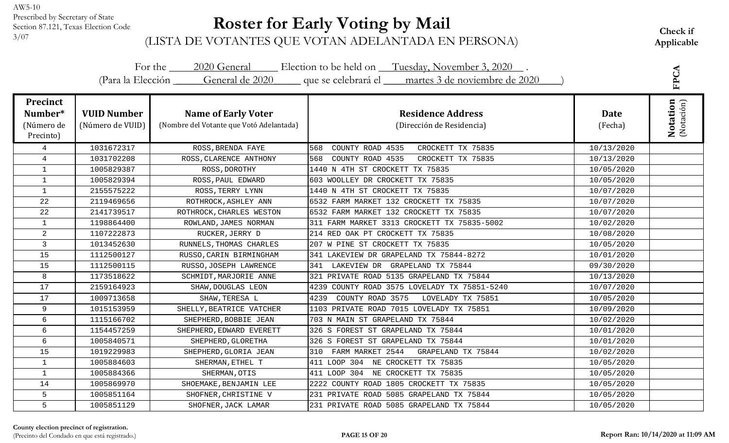# **Roster for Early Voting by Mail**

Check if<br><sup>3/07</sup> (LISTA DE VOTANTES QUE VOTAN ADELANTADA EN PERSONA) Applicable

|                                                       |                                        |                                                                        | For the 2020 General Election to be held on Tuesday, November 3, 2020.<br>(Para la Elección General de 2020 que se celebrará el martes 3 de noviembre de 2020 |                        | FPCA                   |
|-------------------------------------------------------|----------------------------------------|------------------------------------------------------------------------|---------------------------------------------------------------------------------------------------------------------------------------------------------------|------------------------|------------------------|
| <b>Precinct</b><br>Number*<br>(Número de<br>Precinto) | <b>VUID Number</b><br>(Número de VUID) | <b>Name of Early Voter</b><br>(Nombre del Votante que Votó Adelantada) | <b>Residence Address</b><br>(Dirección de Residencia)                                                                                                         | <b>Date</b><br>(Fecha) | Notation<br>(Notación) |
| $\overline{4}$                                        | 1031672317                             | ROSS, BRENDA FAYE                                                      | COUNTY ROAD 4535<br>CROCKETT TX 75835<br>568                                                                                                                  | 10/13/2020             |                        |
| $\overline{4}$                                        | 1031702208                             | ROSS, CLARENCE ANTHONY                                                 | COUNTY ROAD 4535<br>CROCKETT TX 75835<br>568                                                                                                                  | 10/13/2020             |                        |
| $\mathbf{1}$                                          | 1005829387                             | ROSS, DOROTHY                                                          | 1440 N 4TH ST CROCKETT TX 75835                                                                                                                               | 10/05/2020             |                        |
| $\mathbf{1}$                                          | 1005829394                             | ROSS, PAUL EDWARD                                                      | 603 WOOLLEY DR CROCKETT TX 75835                                                                                                                              | 10/05/2020             |                        |
| $\mathbf{1}$                                          | 2155575222                             | ROSS, TERRY LYNN                                                       | 1440 N 4TH ST CROCKETT TX 75835                                                                                                                               | 10/07/2020             |                        |
| 22                                                    | 2119469656                             | ROTHROCK, ASHLEY ANN                                                   | 6532 FARM MARKET 132 CROCKETT TX 75835                                                                                                                        | 10/07/2020             |                        |
| 22                                                    | 2141739517                             | ROTHROCK, CHARLES WESTON                                               | 6532 FARM MARKET 132 CROCKETT TX 75835                                                                                                                        | 10/07/2020             |                        |
| $\mathbf{1}$                                          | 1198864400                             | ROWLAND, JAMES NORMAN                                                  | 311 FARM MARKET 3313 CROCKETT TX 75835-5002                                                                                                                   | 10/02/2020             |                        |
| 2                                                     | 1107222873                             | RUCKER, JERRY D                                                        | 214 RED OAK PT CROCKETT TX 75835                                                                                                                              | 10/08/2020             |                        |
| 3                                                     | 1013452630                             | RUNNELS, THOMAS CHARLES                                                | 207 W PINE ST CROCKETT TX 75835                                                                                                                               | 10/05/2020             |                        |
| 15                                                    | 1112500127                             | RUSSO, CARIN BIRMINGHAM                                                | 341 LAKEVIEW DR GRAPELAND TX 75844-8272                                                                                                                       | 10/01/2020             |                        |
| 15                                                    | 1112500115                             | RUSSO, JOSEPH LAWRENCE                                                 | 341 LAKEVIEW DR GRAPELAND TX 75844                                                                                                                            | 09/30/2020             |                        |
| 8                                                     | 1173518622                             | SCHMIDT, MARJORIE ANNE                                                 | 321 PRIVATE ROAD 5135 GRAPELAND TX 75844                                                                                                                      | 10/13/2020             |                        |
| 17                                                    | 2159164923                             | SHAW, DOUGLAS LEON                                                     | 4239 COUNTY ROAD 3575 LOVELADY TX 75851-5240                                                                                                                  | 10/07/2020             |                        |
| 17                                                    | 1009713658                             | SHAW, TERESA L                                                         | 4239<br>COUNTY ROAD 3575<br>LOVELADY TX 75851                                                                                                                 | 10/05/2020             |                        |
| 9                                                     | 1015153959                             | SHELLY, BEATRICE VATCHER                                               | 1103 PRIVATE ROAD 7015 LOVELADY TX 75851                                                                                                                      | 10/09/2020             |                        |
| 6                                                     | 1115166702                             | SHEPHERD, BOBBIE JEAN                                                  | 703 N MAIN ST GRAPELAND TX 75844                                                                                                                              | 10/02/2020             |                        |
| 6                                                     | 1154457259                             | SHEPHERD, EDWARD EVERETT                                               | 326 S FOREST ST GRAPELAND TX 75844                                                                                                                            | 10/01/2020             |                        |
| 6                                                     | 1005840571                             | SHEPHERD, GLORETHA                                                     | 326 S FOREST ST GRAPELAND TX 75844                                                                                                                            | 10/01/2020             |                        |
| 15                                                    | 1019229983                             | SHEPHERD, GLORIA JEAN                                                  | 310 FARM MARKET 2544<br>GRAPELAND TX 75844                                                                                                                    | 10/02/2020             |                        |
| $\mathbf{1}$                                          | 1005884603                             | SHERMAN, ETHEL T                                                       | 411 LOOP 304 NE CROCKETT TX 75835                                                                                                                             | 10/05/2020             |                        |
| $\mathbf{1}$                                          | 1005884366                             | SHERMAN, OTIS                                                          | 411 LOOP 304 NE CROCKETT TX 75835                                                                                                                             | 10/05/2020             |                        |
| 14                                                    | 1005869970                             | SHOEMAKE, BENJAMIN LEE                                                 | 2222 COUNTY ROAD 1805 CROCKETT TX 75835                                                                                                                       | 10/05/2020             |                        |
| 5                                                     | 1005851164                             | SHOFNER, CHRISTINE V                                                   | 231 PRIVATE ROAD 5085 GRAPELAND TX 75844                                                                                                                      | 10/05/2020             |                        |
| 5                                                     | 1005851129                             | SHOFNER, JACK LAMAR                                                    | 231 PRIVATE ROAD 5085 GRAPELAND TX 75844                                                                                                                      | 10/05/2020             |                        |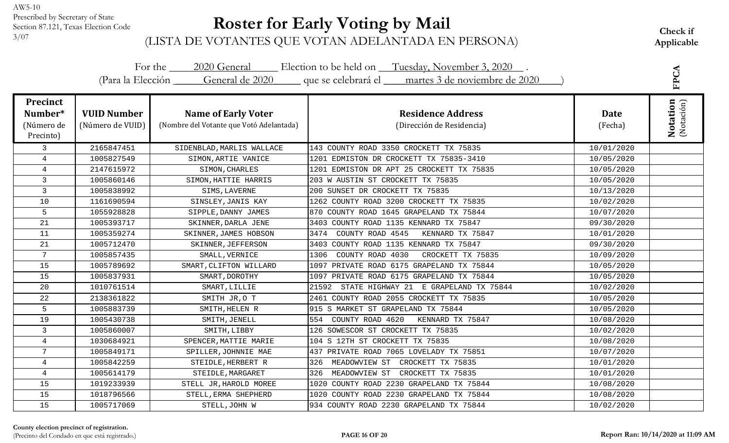# **Roster for Early Voting by Mail**

Check if<br><sup>3/07</sup> (LISTA DE VOTANTES QUE VOTAN ADELANTADA EN PERSONA) Applicable

|                                                       |                                        |                                                                        | For the 2020 General Election to be held on Tuesday, November 3, 2020.<br>(Para la Elección General de 2020 que se celebrará el martes 3 de noviembre de 2020 |                 | FPCA                          |
|-------------------------------------------------------|----------------------------------------|------------------------------------------------------------------------|---------------------------------------------------------------------------------------------------------------------------------------------------------------|-----------------|-------------------------------|
| <b>Precinct</b><br>Number*<br>(Número de<br>Precinto) | <b>VUID Number</b><br>(Número de VUID) | <b>Name of Early Voter</b><br>(Nombre del Votante que Votó Adelantada) | <b>Residence Address</b><br>(Dirección de Residencia)                                                                                                         | Date<br>(Fecha) | <b>Notation</b><br>(Notación) |
| $\mathsf{3}$                                          | 2165847451                             | SIDENBLAD, MARLIS WALLACE                                              | 143 COUNTY ROAD 3350 CROCKETT TX 75835                                                                                                                        | 10/01/2020      |                               |
| $\overline{4}$                                        | 1005827549                             | SIMON, ARTIE VANICE                                                    | 1201 EDMISTON DR CROCKETT TX 75835-3410                                                                                                                       | 10/05/2020      |                               |
| 4                                                     | 2147615972                             | SIMON, CHARLES                                                         | 1201 EDMISTON DR APT 25 CROCKETT TX 75835                                                                                                                     | 10/05/2020      |                               |
| $\mathbf{3}$                                          | 1005860146                             | SIMON, HATTIE HARRIS                                                   | 203 W AUSTIN ST CROCKETT TX 75835                                                                                                                             | 10/05/2020      |                               |
| $\mathsf{3}$                                          | 1005838992                             | SIMS, LAVERNE                                                          | 200 SUNSET DR CROCKETT TX 75835                                                                                                                               | 10/13/2020      |                               |
| 10                                                    | 1161690594                             | SINSLEY, JANIS KAY                                                     | 1262 COUNTY ROAD 3200 CROCKETT TX 75835                                                                                                                       | 10/02/2020      |                               |
| 5                                                     | 1055928828                             | SIPPLE, DANNY JAMES                                                    | 870 COUNTY ROAD 1645 GRAPELAND TX 75844                                                                                                                       | 10/07/2020      |                               |
| 21                                                    | 1005393717                             | SKINNER, DARLA JENE                                                    | 3403 COUNTY ROAD 1135 KENNARD TX 75847                                                                                                                        | 09/30/2020      |                               |
| 11                                                    | 1005359274                             | SKINNER, JAMES HOBSON                                                  | COUNTY ROAD 4545<br>3474<br>KENNARD TX 75847                                                                                                                  | 10/01/2020      |                               |
| 21                                                    | 1005712470                             | SKINNER, JEFFERSON                                                     | 3403 COUNTY ROAD 1135 KENNARD TX 75847                                                                                                                        | 09/30/2020      |                               |
| $7\overline{ }$                                       | 1005857435                             | SMALL, VERNICE                                                         | COUNTY ROAD 4030<br>CROCKETT TX 75835<br>1306                                                                                                                 | 10/09/2020      |                               |
| 15                                                    | 1005789692                             | SMART, CLIFTON WILLARD                                                 | 1097 PRIVATE ROAD 6175 GRAPELAND TX 75844                                                                                                                     | 10/05/2020      |                               |
| 15                                                    | 1005837931                             | SMART, DOROTHY                                                         | 1097 PRIVATE ROAD 6175 GRAPELAND TX 75844                                                                                                                     | 10/05/2020      |                               |
| 20                                                    | 1010761514                             | SMART, LILLIE                                                          | STATE HIGHWAY 21 E GRAPELAND TX 75844<br>21592                                                                                                                | 10/02/2020      |                               |
| 22                                                    | 2138361822                             | SMITH JR, O T                                                          | 2461 COUNTY ROAD 2055 CROCKETT TX 75835                                                                                                                       | 10/05/2020      |                               |
| 5                                                     | 1005883739                             | SMITH, HELEN R                                                         | 915 S MARKET ST GRAPELAND TX 75844                                                                                                                            | 10/05/2020      |                               |
| 19                                                    | 1005430738                             | SMITH, JENELL                                                          | 554 COUNTY ROAD 4620<br>KENNARD TX 75847                                                                                                                      | 10/08/2020      |                               |
| 3                                                     | 1005860007                             | SMITH, LIBBY                                                           | 126 SOWESCOR ST CROCKETT TX 75835                                                                                                                             | 10/02/2020      |                               |
| $\overline{4}$                                        | 1030684921                             | SPENCER, MATTIE MARIE                                                  | 104 S 12TH ST CROCKETT TX 75835                                                                                                                               | 10/08/2020      |                               |
| 7                                                     | 1005849171                             | SPILLER, JOHNNIE MAE                                                   | 437 PRIVATE ROAD 7065 LOVELADY TX 75851                                                                                                                       | 10/07/2020      |                               |
| 4                                                     | 1005842259                             | STEIDLE, HERBERT R                                                     | 326<br>MEADOWVIEW ST<br>CROCKETT TX 75835                                                                                                                     | 10/01/2020      |                               |
| 4                                                     | 1005614179                             | STEIDLE, MARGARET                                                      | 326<br>MEADOWVIEW ST<br>CROCKETT TX 75835                                                                                                                     | 10/01/2020      |                               |
| 15                                                    | 1019233939                             | STELL JR, HAROLD MOREE                                                 | 1020 COUNTY ROAD 2230 GRAPELAND TX 75844                                                                                                                      | 10/08/2020      |                               |
| 15                                                    | 1018796566                             | STELL, ERMA SHEPHERD                                                   | 1020 COUNTY ROAD 2230 GRAPELAND TX 75844                                                                                                                      | 10/08/2020      |                               |
| 15                                                    | 1005717069                             | STELL, JOHN W                                                          | 934 COUNTY ROAD 2230 GRAPELAND TX 75844                                                                                                                       | 10/02/2020      |                               |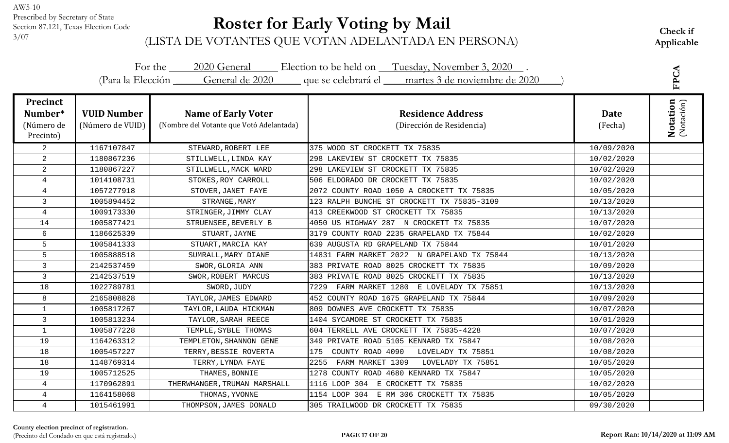# **Roster for Early Voting by Mail**

Check if<br><sup>3/07</sup> (LISTA DE VOTANTES QUE VOTAN ADELANTADA EN PERSONA) Applicable

|                                                       |                                        |                                                                        | For the 2020 General Election to be held on Tuesday, November 3, 2020.<br>(Para la Elección General de 2020 que se celebrará el martes 3 de noviembre de 2020 |                 | FPCA                          |
|-------------------------------------------------------|----------------------------------------|------------------------------------------------------------------------|---------------------------------------------------------------------------------------------------------------------------------------------------------------|-----------------|-------------------------------|
| <b>Precinct</b><br>Number*<br>(Número de<br>Precinto) | <b>VUID Number</b><br>(Número de VUID) | <b>Name of Early Voter</b><br>(Nombre del Votante que Votó Adelantada) | <b>Residence Address</b><br>(Dirección de Residencia)                                                                                                         | Date<br>(Fecha) | <b>Notation</b><br>(Notación) |
| $\overline{2}$                                        | 1167107847                             | STEWARD, ROBERT LEE                                                    | 375 WOOD ST CROCKETT TX 75835                                                                                                                                 | 10/09/2020      |                               |
| $\overline{2}$                                        | 1180867236                             | STILLWELL, LINDA KAY                                                   | 298 LAKEVIEW ST CROCKETT TX 75835                                                                                                                             | 10/02/2020      |                               |
| 2                                                     | 1180867227                             | STILLWELL, MACK WARD                                                   | 298 LAKEVIEW ST CROCKETT TX 75835                                                                                                                             | 10/02/2020      |                               |
| 4                                                     | 1014108731                             | STOKES, ROY CARROLL                                                    | 506 ELDORADO DR CROCKETT TX 75835                                                                                                                             | 10/02/2020      |                               |
| $\overline{4}$                                        | 1057277918                             | STOVER, JANET FAYE                                                     | 2072 COUNTY ROAD 1050 A CROCKETT TX 75835                                                                                                                     | 10/05/2020      |                               |
| 3                                                     | 1005894452                             | STRANGE, MARY                                                          | 123 RALPH BUNCHE ST CROCKETT TX 75835-3109                                                                                                                    | 10/13/2020      |                               |
| $\overline{4}$                                        | 1009173330                             | STRINGER, JIMMY CLAY                                                   | 413 CREEKWOOD ST CROCKETT TX 75835                                                                                                                            | 10/13/2020      |                               |
| 14                                                    | 1005877421                             | STRUENSEE, BEVERLY B                                                   | 4050 US HIGHWAY 287 N CROCKETT TX 75835                                                                                                                       | 10/07/2020      |                               |
| 6                                                     | 1186625339                             | STUART, JAYNE                                                          | 3179 COUNTY ROAD 2235 GRAPELAND TX 75844                                                                                                                      | 10/02/2020      |                               |
| 5                                                     | 1005841333                             | STUART, MARCIA KAY                                                     | 639 AUGUSTA RD GRAPELAND TX 75844                                                                                                                             | 10/01/2020      |                               |
| 5                                                     | 1005888518                             | SUMRALL, MARY DIANE                                                    | 14831 FARM MARKET 2022 N GRAPELAND TX 75844                                                                                                                   | 10/13/2020      |                               |
| 3                                                     | 2142537459                             | SWOR, GLORIA ANN                                                       | 383 PRIVATE ROAD 8025 CROCKETT TX 75835                                                                                                                       | 10/09/2020      |                               |
| $\overline{3}$                                        | 2142537519                             | SWOR, ROBERT MARCUS                                                    | 383 PRIVATE ROAD 8025 CROCKETT TX 75835                                                                                                                       | 10/13/2020      |                               |
| 18                                                    | 1022789781                             | SWORD, JUDY                                                            | 7229<br>FARM MARKET 1280 E LOVELADY TX 75851                                                                                                                  | 10/13/2020      |                               |
| 8                                                     | 2165808828                             | TAYLOR, JAMES EDWARD                                                   | 452 COUNTY ROAD 1675 GRAPELAND TX 75844                                                                                                                       | 10/09/2020      |                               |
| $\mathbf{1}$                                          | 1005817267                             | TAYLOR, LAUDA HICKMAN                                                  | 809 DOWNES AVE CROCKETT TX 75835                                                                                                                              | 10/07/2020      |                               |
| $\mathsf{3}$                                          | 1005813234                             | TAYLOR, SARAH REECE                                                    | 1404 SYCAMORE ST CROCKETT TX 75835                                                                                                                            | 10/01/2020      |                               |
| $\mathbf{1}$                                          | 1005877228                             | TEMPLE, SYBLE THOMAS                                                   | 604 TERRELL AVE CROCKETT TX 75835-4228                                                                                                                        | 10/07/2020      |                               |
| 19                                                    | 1164263312                             | TEMPLETON, SHANNON GENE                                                | 349 PRIVATE ROAD 5105 KENNARD TX 75847                                                                                                                        | 10/08/2020      |                               |
| 18                                                    | 1005457227                             | TERRY, BESSIE ROVERTA                                                  | COUNTY ROAD 4090<br>175<br>LOVELADY TX 75851                                                                                                                  | 10/08/2020      |                               |
| 18                                                    | 1148769314                             | TERRY, LYNDA FAYE                                                      | FARM MARKET 1309<br>2255<br>LOVELADY TX 75851                                                                                                                 | 10/05/2020      |                               |
| 19                                                    | 1005712525                             | THAMES, BONNIE                                                         | 1278 COUNTY ROAD 4680 KENNARD TX 75847                                                                                                                        | 10/05/2020      |                               |
| $\overline{4}$                                        | 1170962891                             | THERWHANGER, TRUMAN MARSHALL                                           | 1116 LOOP 304 E CROCKETT TX 75835                                                                                                                             | 10/02/2020      |                               |
| $\overline{4}$                                        | 1164158068                             | THOMAS, YVONNE                                                         | 1154 LOOP 304 E RM 306 CROCKETT TX 75835                                                                                                                      | 10/05/2020      |                               |
| 4                                                     | 1015461991                             | THOMPSON, JAMES DONALD                                                 | 305 TRAILWOOD DR CROCKETT TX 75835                                                                                                                            | 09/30/2020      |                               |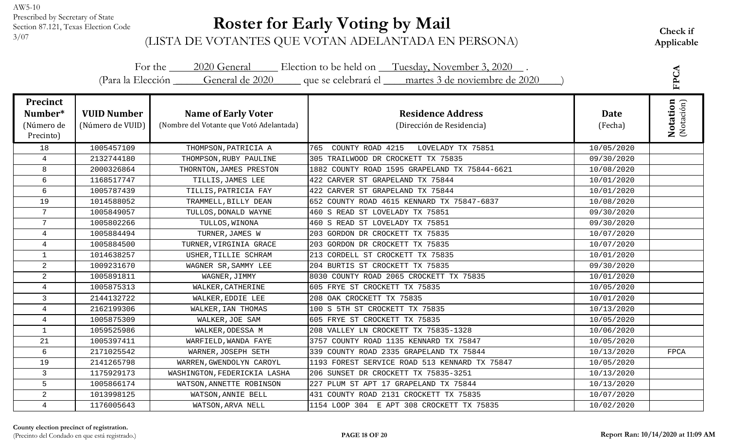# **Roster for Early Voting by Mail**

Check if<br><sup>3/07</sup> (LISTA DE VOTANTES QUE VOTAN ADELANTADA EN PERSONA) Applicable

|                                                       |                                        |                                                                        | For the 2020 General Election to be held on Tuesday, November 3, 2020.<br>(Para la Elección General de 2020 que se celebrará el martes 3 de noviembre de 2020 |                 | FPCA                          |
|-------------------------------------------------------|----------------------------------------|------------------------------------------------------------------------|---------------------------------------------------------------------------------------------------------------------------------------------------------------|-----------------|-------------------------------|
| <b>Precinct</b><br>Number*<br>(Número de<br>Precinto) | <b>VUID Number</b><br>(Número de VUID) | <b>Name of Early Voter</b><br>(Nombre del Votante que Votó Adelantada) | <b>Residence Address</b><br>(Dirección de Residencia)                                                                                                         | Date<br>(Fecha) | <b>Notation</b><br>(Notación) |
| 18                                                    | 1005457109                             | THOMPSON, PATRICIA A                                                   | 765<br>COUNTY ROAD 4215<br>LOVELADY TX 75851                                                                                                                  | 10/05/2020      |                               |
| 4                                                     | 2132744180                             | THOMPSON, RUBY PAULINE                                                 | 305 TRAILWOOD DR CROCKETT TX 75835                                                                                                                            | 09/30/2020      |                               |
| 8                                                     | 2000326864                             | THORNTON, JAMES PRESTON                                                | 1882 COUNTY ROAD 1595 GRAPELAND TX 75844-6621                                                                                                                 | 10/08/2020      |                               |
| 6                                                     | 1168517747                             | TILLIS, JAMES LEE                                                      | 422 CARVER ST GRAPELAND TX 75844                                                                                                                              | 10/01/2020      |                               |
| $6\phantom{1}$                                        | 1005787439                             | TILLIS, PATRICIA FAY                                                   | 422 CARVER ST GRAPELAND TX 75844                                                                                                                              | 10/01/2020      |                               |
| 19                                                    | 1014588052                             | TRAMMELL, BILLY DEAN                                                   | 652 COUNTY ROAD 4615 KENNARD TX 75847-6837                                                                                                                    | 10/08/2020      |                               |
| $\overline{7}$                                        | 1005849057                             | TULLOS, DONALD WAYNE                                                   | 460 S READ ST LOVELADY TX 75851                                                                                                                               | 09/30/2020      |                               |
| $7\overline{ }$                                       | 1005802266                             | TULLOS, WINONA                                                         | 460 S READ ST LOVELADY TX 75851                                                                                                                               | 09/30/2020      |                               |
| $\overline{4}$                                        | 1005884494                             | TURNER, JAMES W                                                        | 203 GORDON DR CROCKETT TX 75835                                                                                                                               | 10/07/2020      |                               |
| $\overline{4}$                                        | 1005884500                             | TURNER, VIRGINIA GRACE                                                 | 203 GORDON DR CROCKETT TX 75835                                                                                                                               | 10/07/2020      |                               |
| $\mathbf{1}$                                          | 1014638257                             | USHER, TILLIE SCHRAM                                                   | 213 CORDELL ST CROCKETT TX 75835                                                                                                                              | 10/01/2020      |                               |
| $\overline{2}$                                        | 1009231670                             | WAGNER SR, SAMMY LEE                                                   | 204 BURTIS ST CROCKETT TX 75835                                                                                                                               | 09/30/2020      |                               |
| $\overline{2}$                                        | 1005891811                             | WAGNER, JIMMY                                                          | 8030 COUNTY ROAD 2065 CROCKETT TX 75835                                                                                                                       | 10/01/2020      |                               |
| 4                                                     | 1005875313                             | WALKER, CATHERINE                                                      | 605 FRYE ST CROCKETT TX 75835                                                                                                                                 | 10/05/2020      |                               |
| 3                                                     | 2144132722                             | WALKER, EDDIE LEE                                                      | 208 OAK CROCKETT TX 75835                                                                                                                                     | 10/01/2020      |                               |
| $\overline{4}$                                        | 2162199306                             | WALKER, IAN THOMAS                                                     | 100 S 5TH ST CROCKETT TX 75835                                                                                                                                | 10/13/2020      |                               |
| 4                                                     | 1005875309                             | WALKER, JOE SAM                                                        | 605 FRYE ST CROCKETT TX 75835                                                                                                                                 | 10/05/2020      |                               |
| $\mathbf{1}$                                          | 1059525986                             | WALKER, ODESSA M                                                       | 208 VALLEY LN CROCKETT TX 75835-1328                                                                                                                          | 10/06/2020      |                               |
| 21                                                    | 1005397411                             | WARFIELD, WANDA FAYE                                                   | 3757 COUNTY ROAD 1135 KENNARD TX 75847                                                                                                                        | 10/05/2020      |                               |
| 6                                                     | 2171025542                             | WARNER, JOSEPH SETH                                                    | 339 COUNTY ROAD 2335 GRAPELAND TX 75844                                                                                                                       | 10/13/2020      | FPCA                          |
| 19                                                    | 2141265798                             | WARREN, GWENDOLYN CAROYL                                               | 1193 FOREST SERVICE ROAD 513 KENNARD TX 75847                                                                                                                 | 10/05/2020      |                               |
| 3                                                     | 1175929173                             | WASHINGTON, FEDERICKIA LASHA                                           | 206 SUNSET DR CROCKETT TX 75835-3251                                                                                                                          | 10/13/2020      |                               |
| 5                                                     | 1005866174                             | WATSON, ANNETTE ROBINSON                                               | 227 PLUM ST APT 17 GRAPELAND TX 75844                                                                                                                         | 10/13/2020      |                               |
| $\overline{a}$                                        | 1013998125                             | WATSON, ANNIE BELL                                                     | 431 COUNTY ROAD 2131 CROCKETT TX 75835                                                                                                                        | 10/07/2020      |                               |
| 4                                                     | 1176005643                             | WATSON, ARVA NELL                                                      | 1154 LOOP 304 E APT 308 CROCKETT TX 75835                                                                                                                     | 10/02/2020      |                               |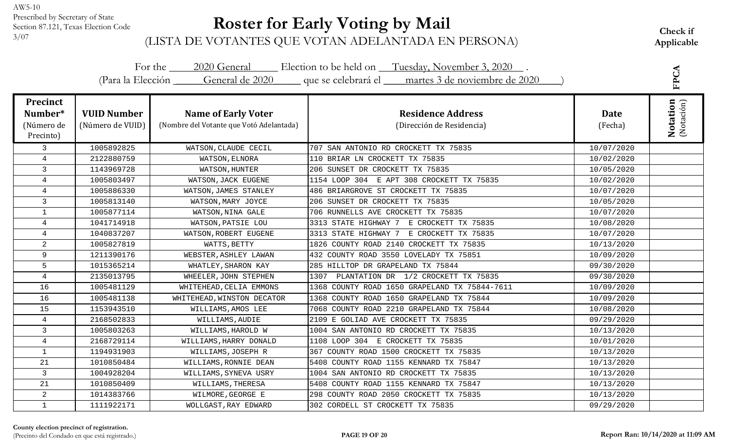# **Roster for Early Voting by Mail**

Check if<br><sup>3/07</sup> (LISTA DE VOTANTES QUE VOTAN ADELANTADA EN PERSONA) Applicable

|                                                       |                                        |                                                                        | For the 2020 General Election to be held on Tuesday, November 3, 2020.<br>(Para la Elección General de 2020 que se celebrará el martes 3 de noviembre de 2020 |                 | FPCA                          |
|-------------------------------------------------------|----------------------------------------|------------------------------------------------------------------------|---------------------------------------------------------------------------------------------------------------------------------------------------------------|-----------------|-------------------------------|
| <b>Precinct</b><br>Number*<br>(Número de<br>Precinto) | <b>VUID Number</b><br>(Número de VUID) | <b>Name of Early Voter</b><br>(Nombre del Votante que Votó Adelantada) | <b>Residence Address</b><br>(Dirección de Residencia)                                                                                                         | Date<br>(Fecha) | <b>Notation</b><br>(Notación) |
| $\mathsf{3}$                                          | 1005892825                             | WATSON, CLAUDE CECIL                                                   | 707 SAN ANTONIO RD CROCKETT TX 75835                                                                                                                          | 10/07/2020      |                               |
| $\overline{4}$                                        | 2122880759                             | WATSON, ELNORA                                                         | 110 BRIAR LN CROCKETT TX 75835                                                                                                                                | 10/02/2020      |                               |
| 3                                                     | 1143969728                             | WATSON, HUNTER                                                         | 206 SUNSET DR CROCKETT TX 75835                                                                                                                               | 10/05/2020      |                               |
| 4                                                     | 1005803497                             | WATSON, JACK EUGENE                                                    | 1154 LOOP 304 E APT 308 CROCKETT TX 75835                                                                                                                     | 10/02/2020      |                               |
| $\overline{4}$                                        | 1005886330                             | WATSON, JAMES STANLEY                                                  | 486 BRIARGROVE ST CROCKETT TX 75835                                                                                                                           | 10/07/2020      |                               |
| 3                                                     | 1005813140                             | WATSON, MARY JOYCE                                                     | 206 SUNSET DR CROCKETT TX 75835                                                                                                                               | 10/05/2020      |                               |
| $\mathbf{1}$                                          | 1005877114                             | WATSON, NINA GALE                                                      | 706 RUNNELLS AVE CROCKETT TX 75835                                                                                                                            | 10/07/2020      |                               |
| 4                                                     | 1041714918                             | WATSON, PATSIE LOU                                                     | 3313 STATE HIGHWAY 7 E CROCKETT TX 75835                                                                                                                      | 10/08/2020      |                               |
| $\overline{4}$                                        | 1040837207                             | WATSON, ROBERT EUGENE                                                  | 3313 STATE HIGHWAY 7 E CROCKETT TX 75835                                                                                                                      | 10/07/2020      |                               |
| 2                                                     | 1005827819                             | WATTS, BETTY                                                           | 1826 COUNTY ROAD 2140 CROCKETT TX 75835                                                                                                                       | 10/13/2020      |                               |
| 9                                                     | 1211390176                             | WEBSTER, ASHLEY LAWAN                                                  | 432 COUNTY ROAD 3550 LOVELADY TX 75851                                                                                                                        | 10/09/2020      |                               |
| 5                                                     | 1015365214                             | WHATLEY, SHARON KAY                                                    | 285 HILLTOP DR GRAPELAND TX 75844                                                                                                                             | 09/30/2020      |                               |
| 4                                                     | 2135013795                             | WHEELER, JOHN STEPHEN                                                  | 1307 PLANTATION DR 1/2 CROCKETT TX 75835                                                                                                                      | 09/30/2020      |                               |
| 16                                                    | 1005481129                             | WHITEHEAD, CELIA EMMONS                                                | 1368 COUNTY ROAD 1650 GRAPELAND TX 75844-7611                                                                                                                 | 10/09/2020      |                               |
| 16                                                    | 1005481138                             | WHITEHEAD, WINSTON DECATOR                                             | 1368 COUNTY ROAD 1650 GRAPELAND TX 75844                                                                                                                      | 10/09/2020      |                               |
| 15                                                    | 1153943510                             | WILLIAMS, AMOS LEE                                                     | 7068 COUNTY ROAD 2210 GRAPELAND TX 75844                                                                                                                      | 10/08/2020      |                               |
| $\overline{4}$                                        | 2168502833                             | WILLIAMS, AUDIE                                                        | 2109 E GOLIAD AVE CROCKETT TX 75835                                                                                                                           | 09/29/2020      |                               |
| 3                                                     | 1005803263                             | WILLIAMS, HAROLD W                                                     | 1004 SAN ANTONIO RD CROCKETT TX 75835                                                                                                                         | 10/13/2020      |                               |
| $\overline{4}$                                        | 2168729114                             | WILLIAMS, HARRY DONALD                                                 | 1108 LOOP 304 E CROCKETT TX 75835                                                                                                                             | 10/01/2020      |                               |
| $\mathbf{1}$                                          | 1194931903                             | WILLIAMS, JOSEPH R                                                     | 367 COUNTY ROAD 1500 CROCKETT TX 75835                                                                                                                        | 10/13/2020      |                               |
| 21                                                    | 1010850484                             | WILLIAMS, RONNIE DEAN                                                  | 5408 COUNTY ROAD 1155 KENNARD TX 75847                                                                                                                        | 10/13/2020      |                               |
| 3                                                     | 1004928204                             | WILLIAMS, SYNEVA USRY                                                  | 1004 SAN ANTONIO RD CROCKETT TX 75835                                                                                                                         | 10/13/2020      |                               |
| 21                                                    | 1010850409                             | WILLIAMS, THERESA                                                      | 5408 COUNTY ROAD 1155 KENNARD TX 75847                                                                                                                        | 10/13/2020      |                               |
| $\overline{a}$                                        | 1014383766                             | WILMORE, GEORGE E                                                      | 298 COUNTY ROAD 2050 CROCKETT TX 75835                                                                                                                        | 10/13/2020      |                               |
| $\mathbf{1}$                                          | 1111922171                             | WOLLGAST, RAY EDWARD                                                   | 302 CORDELL ST CROCKETT TX 75835                                                                                                                              | 09/29/2020      |                               |